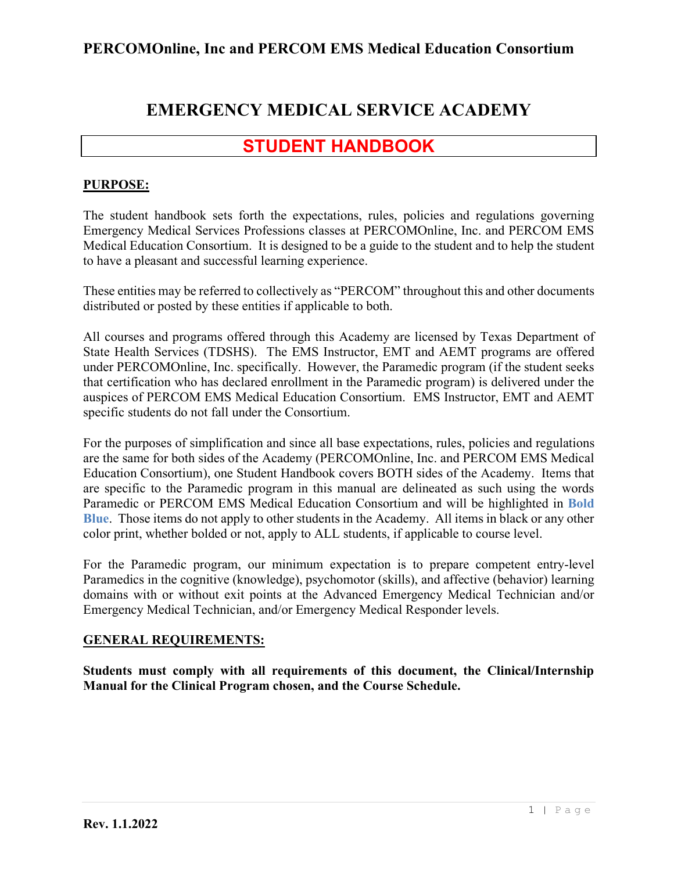# **EMERGENCY MEDICAL SERVICE ACADEMY**

# **STUDENT HANDBOOK**

### **PURPOSE:**

The student handbook sets forth the expectations, rules, policies and regulations governing Emergency Medical Services Professions classes at PERCOMOnline, Inc. and PERCOM EMS Medical Education Consortium. It is designed to be a guide to the student and to help the student to have a pleasant and successful learning experience.

These entities may be referred to collectively as "PERCOM" throughout this and other documents distributed or posted by these entities if applicable to both.

All courses and programs offered through this Academy are licensed by Texas Department of State Health Services (TDSHS). The EMS Instructor, EMT and AEMT programs are offered under PERCOMOnline, Inc. specifically. However, the Paramedic program (if the student seeks that certification who has declared enrollment in the Paramedic program) is delivered under the auspices of PERCOM EMS Medical Education Consortium. EMS Instructor, EMT and AEMT specific students do not fall under the Consortium.

For the purposes of simplification and since all base expectations, rules, policies and regulations are the same for both sides of the Academy (PERCOMOnline, Inc. and PERCOM EMS Medical Education Consortium), one Student Handbook covers BOTH sides of the Academy. Items that are specific to the Paramedic program in this manual are delineated as such using the words Paramedic or PERCOM EMS Medical Education Consortium and will be highlighted in **Bold Blue**. Those items do not apply to other students in the Academy. All items in black or any other color print, whether bolded or not, apply to ALL students, if applicable to course level.

For the Paramedic program, our minimum expectation is to prepare competent entry-level Paramedics in the cognitive (knowledge), psychomotor (skills), and affective (behavior) learning domains with or without exit points at the Advanced Emergency Medical Technician and/or Emergency Medical Technician, and/or Emergency Medical Responder levels.

### **GENERAL REQUIREMENTS:**

**Students must comply with all requirements of this document, the Clinical/Internship Manual for the Clinical Program chosen, and the Course Schedule.**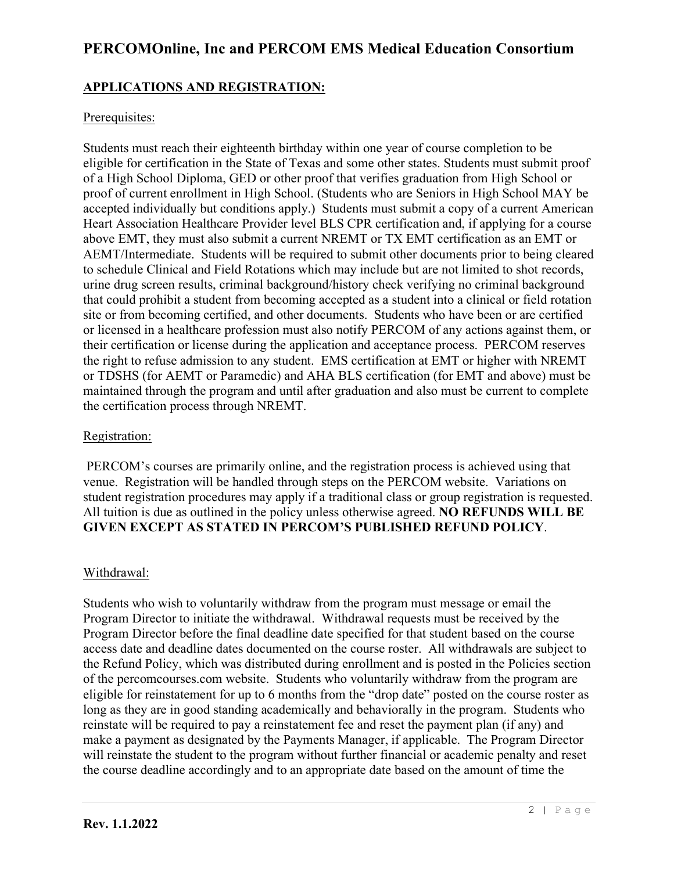### **APPLICATIONS AND REGISTRATION:**

### Prerequisites:

Students must reach their eighteenth birthday within one year of course completion to be eligible for certification in the State of Texas and some other states. Students must submit proof of a High School Diploma, GED or other proof that verifies graduation from High School or proof of current enrollment in High School. (Students who are Seniors in High School MAY be accepted individually but conditions apply.) Students must submit a copy of a current American Heart Association Healthcare Provider level BLS CPR certification and, if applying for a course above EMT, they must also submit a current NREMT or TX EMT certification as an EMT or AEMT/Intermediate. Students will be required to submit other documents prior to being cleared to schedule Clinical and Field Rotations which may include but are not limited to shot records, urine drug screen results, criminal background/history check verifying no criminal background that could prohibit a student from becoming accepted as a student into a clinical or field rotation site or from becoming certified, and other documents. Students who have been or are certified or licensed in a healthcare profession must also notify PERCOM of any actions against them, or their certification or license during the application and acceptance process. PERCOM reserves the right to refuse admission to any student. EMS certification at EMT or higher with NREMT or TDSHS (for AEMT or Paramedic) and AHA BLS certification (for EMT and above) must be maintained through the program and until after graduation and also must be current to complete the certification process through NREMT.

#### Registration:

PERCOM's courses are primarily online, and the registration process is achieved using that venue. Registration will be handled through steps on the PERCOM website. Variations on student registration procedures may apply if a traditional class or group registration is requested. All tuition is due as outlined in the policy unless otherwise agreed. **NO REFUNDS WILL BE GIVEN EXCEPT AS STATED IN PERCOM'S PUBLISHED REFUND POLICY**.

#### Withdrawal:

Students who wish to voluntarily withdraw from the program must message or email the Program Director to initiate the withdrawal. Withdrawal requests must be received by the Program Director before the final deadline date specified for that student based on the course access date and deadline dates documented on the course roster. All withdrawals are subject to the Refund Policy, which was distributed during enrollment and is posted in the Policies section of the percomcourses.com website. Students who voluntarily withdraw from the program are eligible for reinstatement for up to 6 months from the "drop date" posted on the course roster as long as they are in good standing academically and behaviorally in the program. Students who reinstate will be required to pay a reinstatement fee and reset the payment plan (if any) and make a payment as designated by the Payments Manager, if applicable. The Program Director will reinstate the student to the program without further financial or academic penalty and reset the course deadline accordingly and to an appropriate date based on the amount of time the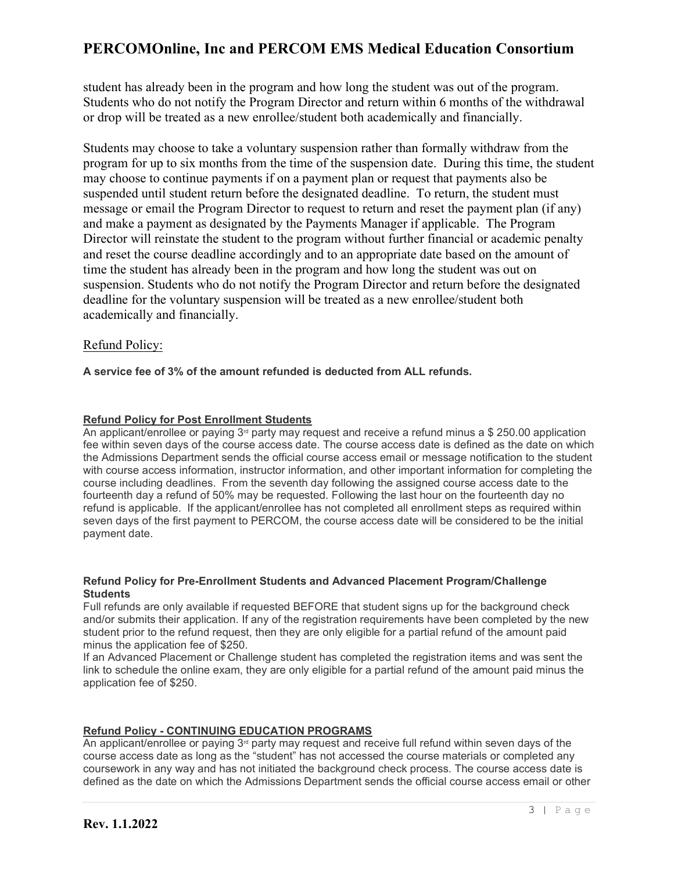student has already been in the program and how long the student was out of the program. Students who do not notify the Program Director and return within 6 months of the withdrawal or drop will be treated as a new enrollee/student both academically and financially.

Students may choose to take a voluntary suspension rather than formally withdraw from the program for up to six months from the time of the suspension date. During this time, the student may choose to continue payments if on a payment plan or request that payments also be suspended until student return before the designated deadline. To return, the student must message or email the Program Director to request to return and reset the payment plan (if any) and make a payment as designated by the Payments Manager if applicable. The Program Director will reinstate the student to the program without further financial or academic penalty and reset the course deadline accordingly and to an appropriate date based on the amount of time the student has already been in the program and how long the student was out on suspension. Students who do not notify the Program Director and return before the designated deadline for the voluntary suspension will be treated as a new enrollee/student both academically and financially.

#### Refund Policy:

**A service fee of 3% of the amount refunded is deducted from ALL refunds.**

#### **Refund Policy for Post Enrollment Students**

An applicant/enrollee or paying  $3<sup>d</sup>$  party may request and receive a refund minus a \$ 250.00 application fee within seven days of the course access date. The course access date is defined as the date on which the Admissions Department sends the official course access email or message notification to the student with course access information, instructor information, and other important information for completing the course including deadlines. From the seventh day following the assigned course access date to the fourteenth day a refund of 50% may be requested. Following the last hour on the fourteenth day no refund is applicable. If the applicant/enrollee has not completed all enrollment steps as required within seven days of the first payment to PERCOM, the course access date will be considered to be the initial payment date.

#### **Refund Policy for Pre-Enrollment Students and Advanced Placement Program/Challenge Students**

Full refunds are only available if requested BEFORE that student signs up for the background check and/or submits their application. If any of the registration requirements have been completed by the new student prior to the refund request, then they are only eligible for a partial refund of the amount paid minus the application fee of \$250.

If an Advanced Placement or Challenge student has completed the registration items and was sent the link to schedule the online exam, they are only eligible for a partial refund of the amount paid minus the application fee of \$250.

#### **Refund Policy - CONTINUING EDUCATION PROGRAMS**

An applicant/enrollee or paying 3<sup>rd</sup> party may request and receive full refund within seven days of the course access date as long as the "student" has not accessed the course materials or completed any coursework in any way and has not initiated the background check process. The course access date is defined as the date on which the Admissions Department sends the official course access email or other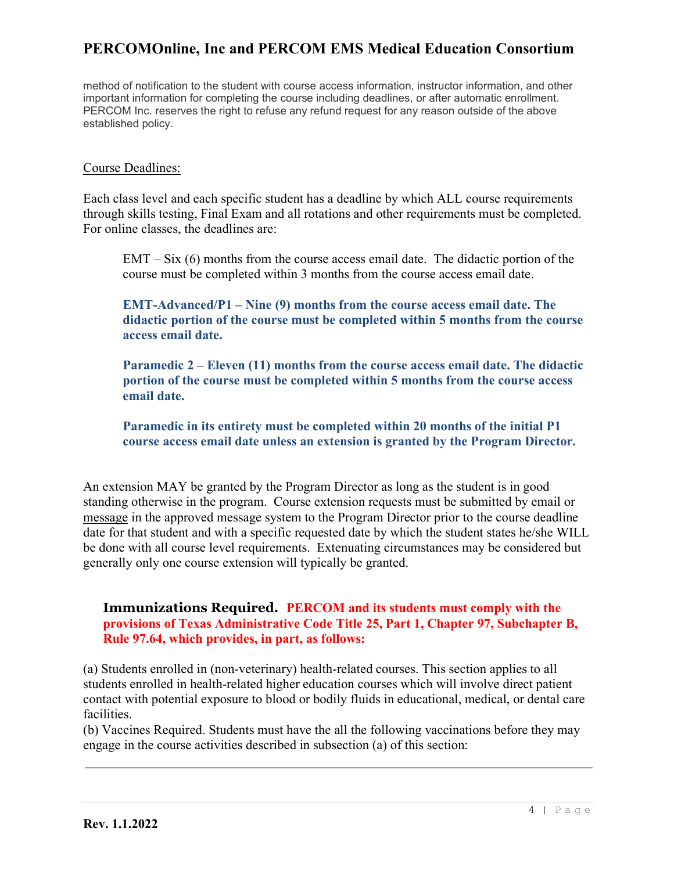method of notification to the student with course access information, instructor information, and other important information for completing the course including deadlines, or after automatic enrollment. PERCOM Inc. reserves the right to refuse any refund request for any reason outside of the above established policy.

#### Course Deadlines:

Each class level and each specific student has a deadline by which ALL course requirements through skills testing, Final Exam and all rotations and other requirements must be completed. For online classes, the deadlines are:

 $EMT - Six$  (6) months from the course access email date. The didactic portion of the course must be completed within 3 months from the course access email date.

**EMT-Advanced/P1 – Nine (9) months from the course access email date. The didactic portion of the course must be completed within 5 months from the course access email date.**

**Paramedic 2 – Eleven (11) months from the course access email date. The didactic portion of the course must be completed within 5 months from the course access email date.**

**Paramedic in its entirety must be completed within 20 months of the initial P1 course access email date unless an extension is granted by the Program Director.**

An extension MAY be granted by the Program Director as long as the student is in good standing otherwise in the program. Course extension requests must be submitted by email or [message](mailto:message) in the approved message system to the Program Director prior to the course deadline date for that student and with a specific requested date by which the student states he/she WILL be done with all course level requirements. Extenuating circumstances may be considered but generally only one course extension will typically be granted.

#### **Immunizations Required. PERCOM and its students must comply with the provisions of Texas Administrative Code Title 25, Part 1, Chapter 97, Subchapter B, Rule 97.64, which provides, in part, as follows:**

(a) Students enrolled in (non-veterinary) health-related courses. This section applies to all students enrolled in health-related higher education courses which will involve direct patient contact with potential exposure to blood or bodily fluids in educational, medical, or dental care facilities.

(b) Vaccines Required. Students must have the all the following vaccinations before they may engage in the course activities described in subsection (a) of this section: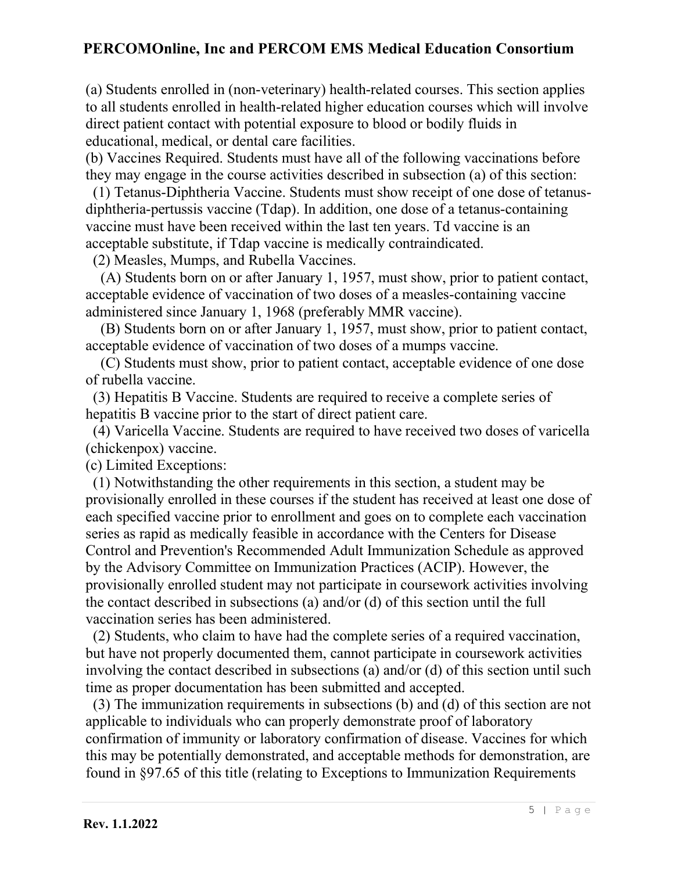(a) Students enrolled in (non-veterinary) health-related courses. This section applies to all students enrolled in health-related higher education courses which will involve direct patient contact with potential exposure to blood or bodily fluids in educational, medical, or dental care facilities.

(b) Vaccines Required. Students must have all of the following vaccinations before they may engage in the course activities described in subsection (a) of this section:

 (1) Tetanus-Diphtheria Vaccine. Students must show receipt of one dose of tetanusdiphtheria-pertussis vaccine (Tdap). In addition, one dose of a tetanus-containing vaccine must have been received within the last ten years. Td vaccine is an acceptable substitute, if Tdap vaccine is medically contraindicated.

(2) Measles, Mumps, and Rubella Vaccines.

 (A) Students born on or after January 1, 1957, must show, prior to patient contact, acceptable evidence of vaccination of two doses of a measles-containing vaccine administered since January 1, 1968 (preferably MMR vaccine).

 (B) Students born on or after January 1, 1957, must show, prior to patient contact, acceptable evidence of vaccination of two doses of a mumps vaccine.

 (C) Students must show, prior to patient contact, acceptable evidence of one dose of rubella vaccine.

 (3) Hepatitis B Vaccine. Students are required to receive a complete series of hepatitis B vaccine prior to the start of direct patient care.

 (4) Varicella Vaccine. Students are required to have received two doses of varicella (chickenpox) vaccine.

(c) Limited Exceptions:

 (1) Notwithstanding the other requirements in this section, a student may be provisionally enrolled in these courses if the student has received at least one dose of each specified vaccine prior to enrollment and goes on to complete each vaccination series as rapid as medically feasible in accordance with the Centers for Disease Control and Prevention's Recommended Adult Immunization Schedule as approved by the Advisory Committee on Immunization Practices (ACIP). However, the provisionally enrolled student may not participate in coursework activities involving the contact described in subsections (a) and/or (d) of this section until the full vaccination series has been administered.

 (2) Students, who claim to have had the complete series of a required vaccination, but have not properly documented them, cannot participate in coursework activities involving the contact described in subsections (a) and/or (d) of this section until such time as proper documentation has been submitted and accepted.

 (3) The immunization requirements in subsections (b) and (d) of this section are not applicable to individuals who can properly demonstrate proof of laboratory confirmation of immunity or laboratory confirmation of disease. Vaccines for which this may be potentially demonstrated, and acceptable methods for demonstration, are found in §97.65 of this title (relating to Exceptions to Immunization Requirements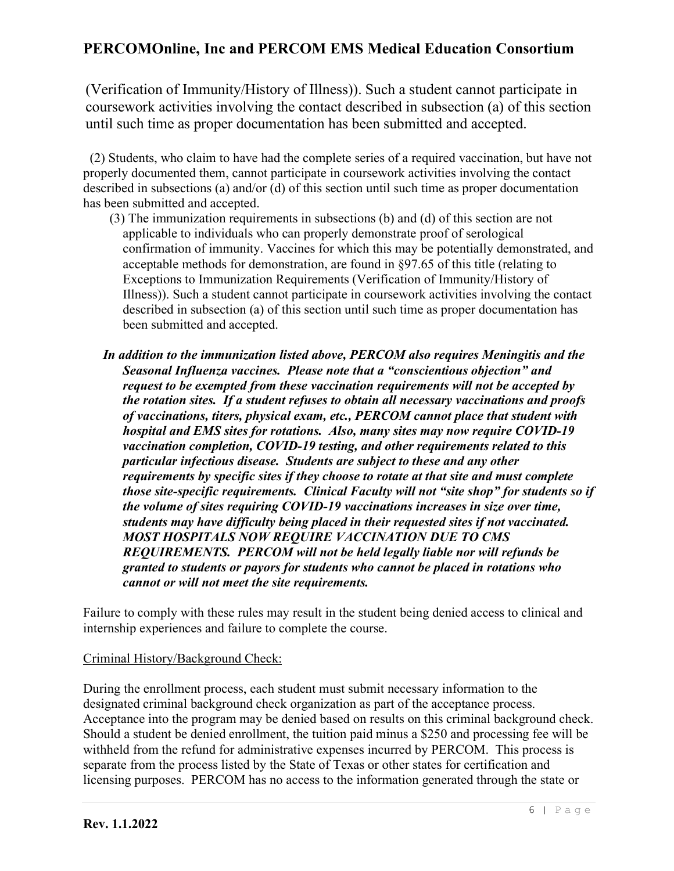(Verification of Immunity/History of Illness)). Such a student cannot participate in coursework activities involving the contact described in subsection (a) of this section until such time as proper documentation has been submitted and accepted.

 (2) Students, who claim to have had the complete series of a required vaccination, but have not properly documented them, cannot participate in coursework activities involving the contact described in subsections (a) and/or (d) of this section until such time as proper documentation has been submitted and accepted.

- (3) The immunization requirements in subsections (b) and (d) of this section are not applicable to individuals who can properly demonstrate proof of serological confirmation of immunity. Vaccines for which this may be potentially demonstrated, and acceptable methods for demonstration, are found in §97.65 of this title (relating to Exceptions to Immunization Requirements (Verification of Immunity/History of Illness)). Such a student cannot participate in coursework activities involving the contact described in subsection (a) of this section until such time as proper documentation has been submitted and accepted.
- *In addition to the immunization listed above, PERCOM also requires Meningitis and the Seasonal Influenza vaccines. Please note that a "conscientious objection" and request to be exempted from these vaccination requirements will not be accepted by the rotation sites. If a student refuses to obtain all necessary vaccinations and proofs of vaccinations, titers, physical exam, etc., PERCOM cannot place that student with hospital and EMS sites for rotations. Also, many sites may now require COVID-19 vaccination completion, COVID-19 testing, and other requirements related to this particular infectious disease. Students are subject to these and any other requirements by specific sites if they choose to rotate at that site and must complete those site-specific requirements. Clinical Faculty will not "site shop" for students so if the volume of sites requiring COVID-19 vaccinations increases in size over time, students may have difficulty being placed in their requested sites if not vaccinated. MOST HOSPITALS NOW REQUIRE VACCINATION DUE TO CMS REQUIREMENTS. PERCOM will not be held legally liable nor will refunds be granted to students or payors for students who cannot be placed in rotations who cannot or will not meet the site requirements.*

Failure to comply with these rules may result in the student being denied access to clinical and internship experiences and failure to complete the course.

### Criminal History/Background Check:

During the enrollment process, each student must submit necessary information to the designated criminal background check organization as part of the acceptance process. Acceptance into the program may be denied based on results on this criminal background check. Should a student be denied enrollment, the tuition paid minus a \$250 and processing fee will be withheld from the refund for administrative expenses incurred by PERCOM. This process is separate from the process listed by the State of Texas or other states for certification and licensing purposes. PERCOM has no access to the information generated through the state or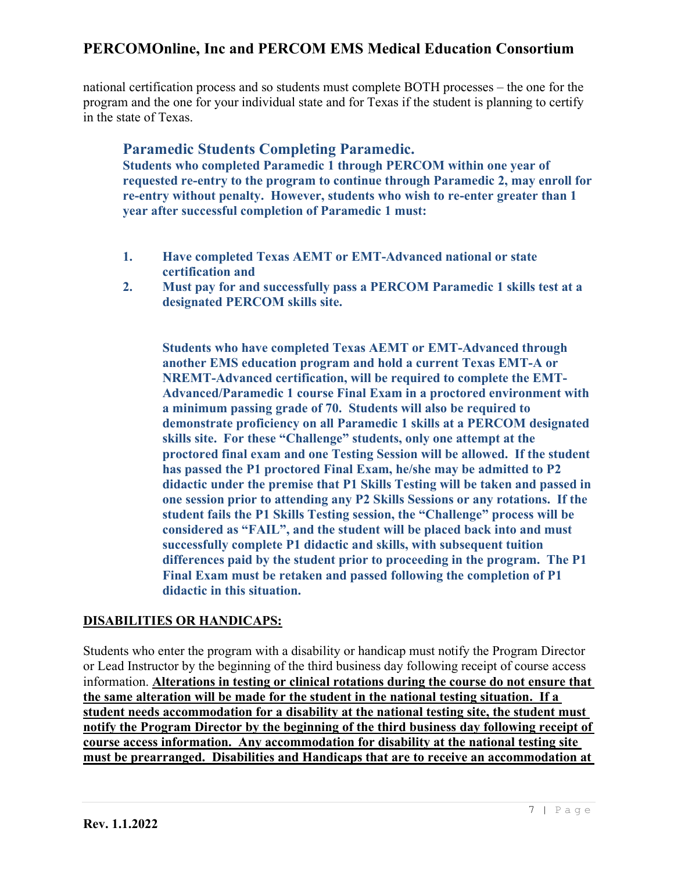national certification process and so students must complete BOTH processes – the one for the program and the one for your individual state and for Texas if the student is planning to certify in the state of Texas.

### **Paramedic Students Completing Paramedic.**

**Students who completed Paramedic 1 through PERCOM within one year of requested re-entry to the program to continue through Paramedic 2, may enroll for re-entry without penalty. However, students who wish to re-enter greater than 1 year after successful completion of Paramedic 1 must:**

- **1. Have completed Texas AEMT or EMT-Advanced national or state certification and**
- **2. Must pay for and successfully pass a PERCOM Paramedic 1 skills test at a designated PERCOM skills site.**

**Students who have completed Texas AEMT or EMT-Advanced through another EMS education program and hold a current Texas EMT-A or NREMT-Advanced certification, will be required to complete the EMT-Advanced/Paramedic 1 course Final Exam in a proctored environment with a minimum passing grade of 70. Students will also be required to demonstrate proficiency on all Paramedic 1 skills at a PERCOM designated skills site. For these "Challenge" students, only one attempt at the proctored final exam and one Testing Session will be allowed. If the student has passed the P1 proctored Final Exam, he/she may be admitted to P2 didactic under the premise that P1 Skills Testing will be taken and passed in one session prior to attending any P2 Skills Sessions or any rotations. If the student fails the P1 Skills Testing session, the "Challenge" process will be considered as "FAIL", and the student will be placed back into and must successfully complete P1 didactic and skills, with subsequent tuition differences paid by the student prior to proceeding in the program. The P1 Final Exam must be retaken and passed following the completion of P1 didactic in this situation.**

### **DISABILITIES OR HANDICAPS:**

Students who enter the program with a disability or handicap must notify the Program Director or Lead Instructor by the beginning of the third business day following receipt of course access information. **Alterations in testing or clinical rotations during the course do not ensure that the same alteration will be made for the student in the national testing situation. If a student needs accommodation for a disability at the national testing site, the student must notify the Program Director by the beginning of the third business day following receipt of course access information. Any accommodation for disability at the national testing site must be prearranged. Disabilities and Handicaps that are to receive an accommodation at**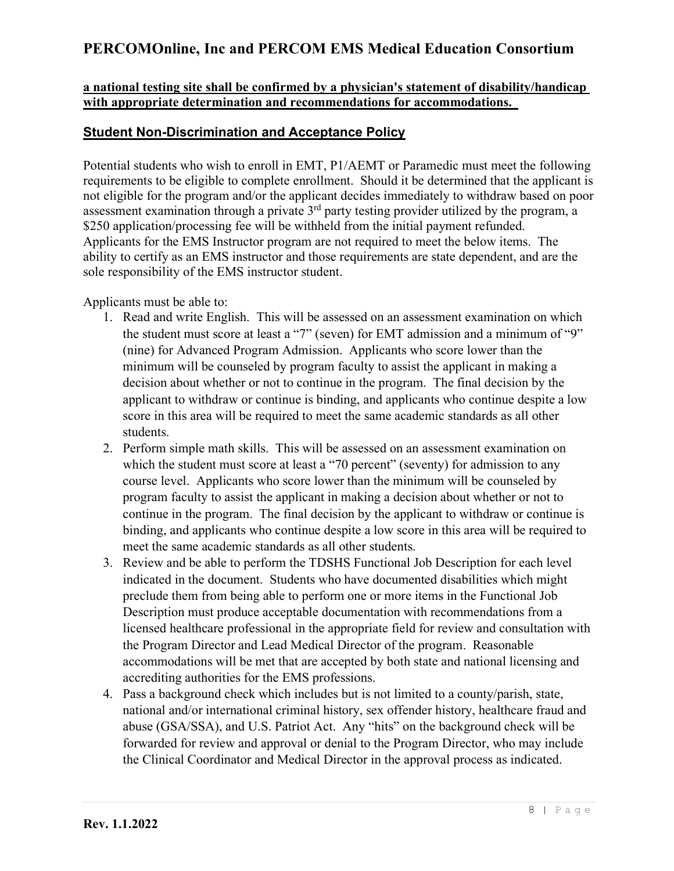#### **a national testing site shall be confirmed by a physician's statement of disability/handicap with appropriate determination and recommendations for accommodations.**

### **Student Non-Discrimination and Acceptance Policy**

Potential students who wish to enroll in EMT, P1/AEMT or Paramedic must meet the following requirements to be eligible to complete enrollment. Should it be determined that the applicant is not eligible for the program and/or the applicant decides immediately to withdraw based on poor assessment examination through a private  $3<sup>rd</sup>$  party testing provider utilized by the program, a \$250 application/processing fee will be withheld from the initial payment refunded. Applicants for the EMS Instructor program are not required to meet the below items. The ability to certify as an EMS instructor and those requirements are state dependent, and are the sole responsibility of the EMS instructor student.

Applicants must be able to:

- 1. Read and write English. This will be assessed on an assessment examination on which the student must score at least a "7" (seven) for EMT admission and a minimum of "9" (nine) for Advanced Program Admission. Applicants who score lower than the minimum will be counseled by program faculty to assist the applicant in making a decision about whether or not to continue in the program. The final decision by the applicant to withdraw or continue is binding, and applicants who continue despite a low score in this area will be required to meet the same academic standards as all other students.
- 2. Perform simple math skills. This will be assessed on an assessment examination on which the student must score at least a "70 percent" (seventy) for admission to any course level. Applicants who score lower than the minimum will be counseled by program faculty to assist the applicant in making a decision about whether or not to continue in the program. The final decision by the applicant to withdraw or continue is binding, and applicants who continue despite a low score in this area will be required to meet the same academic standards as all other students.
- 3. Review and be able to perform the TDSHS Functional Job Description for each level indicated in the document. Students who have documented disabilities which might preclude them from being able to perform one or more items in the Functional Job Description must produce acceptable documentation with recommendations from a licensed healthcare professional in the appropriate field for review and consultation with the Program Director and Lead Medical Director of the program. Reasonable accommodations will be met that are accepted by both state and national licensing and accrediting authorities for the EMS professions.
- 4. Pass a background check which includes but is not limited to a county/parish, state, national and/or international criminal history, sex offender history, healthcare fraud and abuse (GSA/SSA), and U.S. Patriot Act. Any "hits" on the background check will be forwarded for review and approval or denial to the Program Director, who may include the Clinical Coordinator and Medical Director in the approval process as indicated.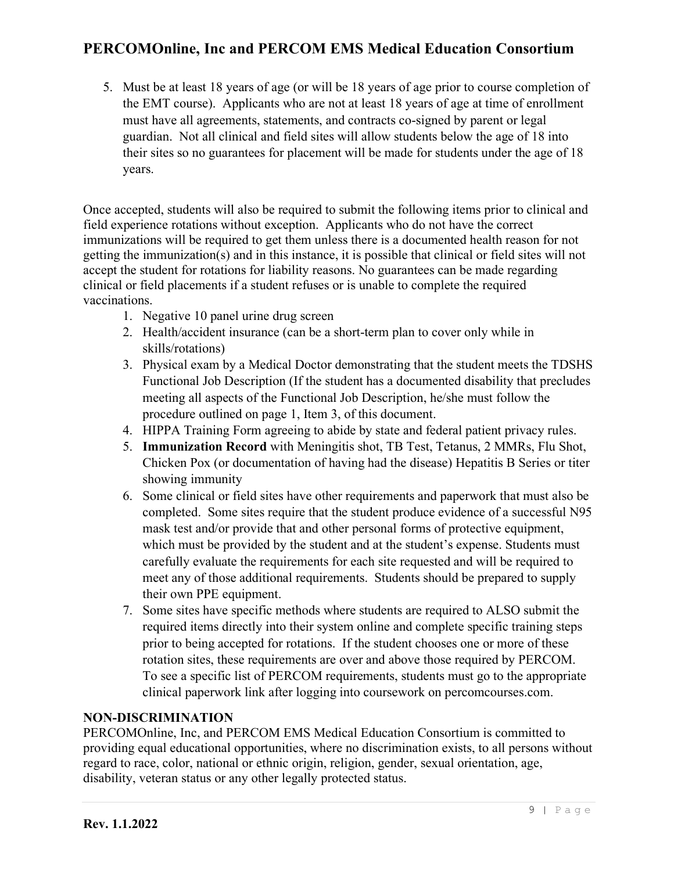5. Must be at least 18 years of age (or will be 18 years of age prior to course completion of the EMT course). Applicants who are not at least 18 years of age at time of enrollment must have all agreements, statements, and contracts co-signed by parent or legal guardian. Not all clinical and field sites will allow students below the age of 18 into their sites so no guarantees for placement will be made for students under the age of 18 years.

Once accepted, students will also be required to submit the following items prior to clinical and field experience rotations without exception. Applicants who do not have the correct immunizations will be required to get them unless there is a documented health reason for not getting the immunization(s) and in this instance, it is possible that clinical or field sites will not accept the student for rotations for liability reasons. No guarantees can be made regarding clinical or field placements if a student refuses or is unable to complete the required vaccinations.

- 1. Negative 10 panel urine drug screen
- 2. Health/accident insurance (can be a short-term plan to cover only while in skills/rotations)
- 3. Physical exam by a Medical Doctor demonstrating that the student meets the TDSHS Functional Job Description (If the student has a documented disability that precludes meeting all aspects of the Functional Job Description, he/she must follow the procedure outlined on page 1, Item 3, of this document.
- 4. HIPPA Training Form agreeing to abide by state and federal patient privacy rules.
- 5. **Immunization Record** with Meningitis shot, TB Test, Tetanus, 2 MMRs, Flu Shot, Chicken Pox (or documentation of having had the disease) Hepatitis B Series or titer showing immunity
- 6. Some clinical or field sites have other requirements and paperwork that must also be completed. Some sites require that the student produce evidence of a successful N95 mask test and/or provide that and other personal forms of protective equipment, which must be provided by the student and at the student's expense. Students must carefully evaluate the requirements for each site requested and will be required to meet any of those additional requirements. Students should be prepared to supply their own PPE equipment.
- 7. Some sites have specific methods where students are required to ALSO submit the required items directly into their system online and complete specific training steps prior to being accepted for rotations. If the student chooses one or more of these rotation sites, these requirements are over and above those required by PERCOM. To see a specific list of PERCOM requirements, students must go to the appropriate clinical paperwork link after logging into coursework on percomcourses.com.

### **NON-DISCRIMINATION**

PERCOMOnline, Inc, and PERCOM EMS Medical Education Consortium is committed to providing equal educational opportunities, where no discrimination exists, to all persons without regard to race, color, national or ethnic origin, religion, gender, sexual orientation, age, disability, veteran status or any other legally protected status.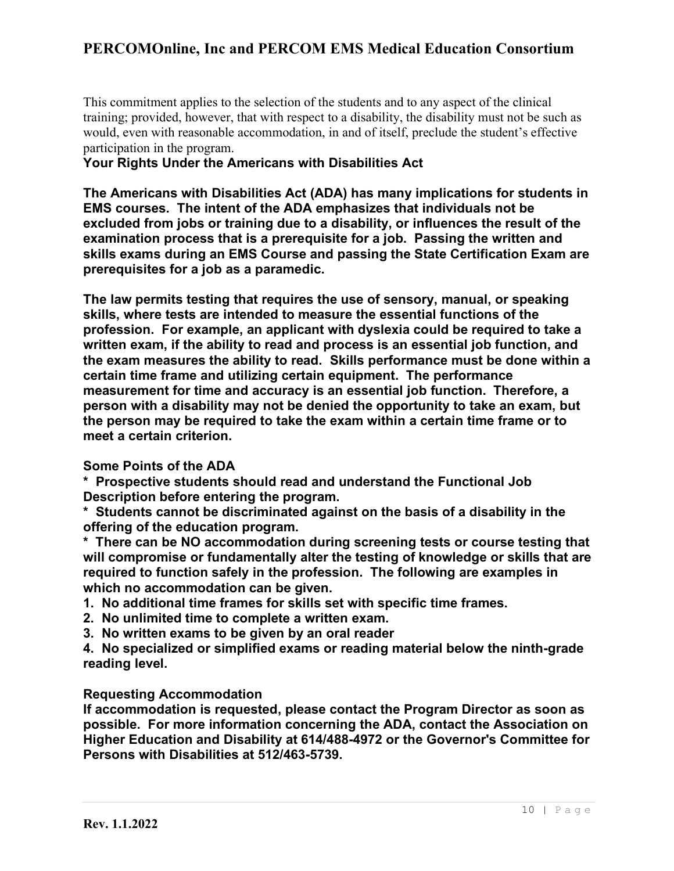This commitment applies to the selection of the students and to any aspect of the clinical training; provided, however, that with respect to a disability, the disability must not be such as would, even with reasonable accommodation, in and of itself, preclude the student's effective participation in the program.

### **Your Rights Under the Americans with Disabilities Act**

**The Americans with Disabilities Act (ADA) has many implications for students in EMS courses. The intent of the ADA emphasizes that individuals not be excluded from jobs or training due to a disability, or influences the result of the examination process that is a prerequisite for a job. Passing the written and skills exams during an EMS Course and passing the State Certification Exam are prerequisites for a job as a paramedic.**

**The law permits testing that requires the use of sensory, manual, or speaking skills, where tests are intended to measure the essential functions of the profession. For example, an applicant with dyslexia could be required to take a written exam, if the ability to read and process is an essential job function, and the exam measures the ability to read. Skills performance must be done within a certain time frame and utilizing certain equipment. The performance measurement for time and accuracy is an essential job function. Therefore, a person with a disability may not be denied the opportunity to take an exam, but the person may be required to take the exam within a certain time frame or to meet a certain criterion.**

### **Some Points of the ADA**

**\* Prospective students should read and understand the Functional Job Description before entering the program.**

**\* Students cannot be discriminated against on the basis of a disability in the offering of the education program.**

**\* There can be NO accommodation during screening tests or course testing that will compromise or fundamentally alter the testing of knowledge or skills that are required to function safely in the profession. The following are examples in which no accommodation can be given.**

- **1. No additional time frames for skills set with specific time frames.**
- **2. No unlimited time to complete a written exam.**
- **3. No written exams to be given by an oral reader**

**4. No specialized or simplified exams or reading material below the ninth-grade reading level.**

### **Requesting Accommodation**

**If accommodation is requested, please contact the Program Director as soon as possible. For more information concerning the ADA, contact the Association on Higher Education and Disability at 614/488-4972 or the Governor's Committee for Persons with Disabilities at 512/463-5739.**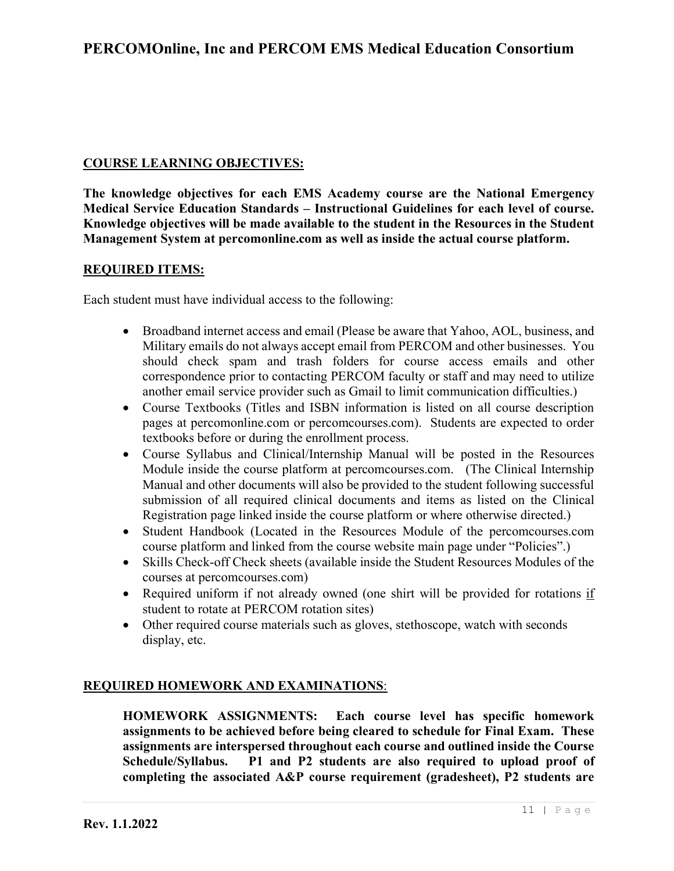### **COURSE LEARNING OBJECTIVES:**

**The knowledge objectives for each EMS Academy course are the National Emergency Medical Service Education Standards – Instructional Guidelines for each level of course. Knowledge objectives will be made available to the student in the Resources in the Student Management System at percomonline.com as well as inside the actual course platform.**

#### **REQUIRED ITEMS:**

Each student must have individual access to the following:

- Broadband internet access and email (Please be aware that Yahoo, AOL, business, and Military emails do not always accept email from PERCOM and other businesses. You should check spam and trash folders for course access emails and other correspondence prior to contacting PERCOM faculty or staff and may need to utilize another email service provider such as Gmail to limit communication difficulties.)
- Course Textbooks (Titles and ISBN information is listed on all course description pages at percomonline.com or percomcourses.com). Students are expected to order textbooks before or during the enrollment process.
- Course Syllabus and Clinical/Internship Manual will be posted in the Resources Module inside the course platform at percomcourses.com. (The Clinical Internship Manual and other documents will also be provided to the student following successful submission of all required clinical documents and items as listed on the Clinical Registration page linked inside the course platform or where otherwise directed.)
- Student Handbook (Located in the Resources Module of the percomcourses.com course platform and linked from the course website main page under "Policies".)
- Skills Check-off Check sheets (available inside the Student Resources Modules of the courses at percomcourses.com)
- Required uniform if not already owned (one shirt will be provided for rotations if student to rotate at PERCOM rotation sites)
- Other required course materials such as gloves, stethoscope, watch with seconds display, etc.

### **REQUIRED HOMEWORK AND EXAMINATIONS**:

**HOMEWORK ASSIGNMENTS: Each course level has specific homework assignments to be achieved before being cleared to schedule for Final Exam. These assignments are interspersed throughout each course and outlined inside the Course Schedule/Syllabus. P1 and P2 students are also required to upload proof of completing the associated A&P course requirement (gradesheet), P2 students are**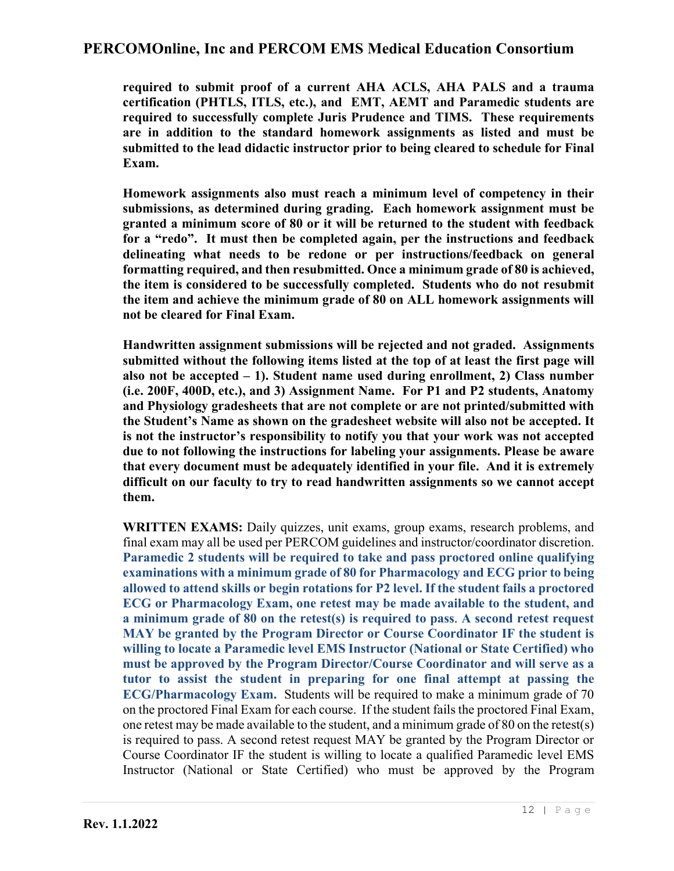**required to submit proof of a current AHA ACLS, AHA PALS and a trauma certification (PHTLS, ITLS, etc.), and EMT, AEMT and Paramedic students are required to successfully complete Juris Prudence and TIMS. These requirements are in addition to the standard homework assignments as listed and must be submitted to the lead didactic instructor prior to being cleared to schedule for Final Exam.**

**Homework assignments also must reach a minimum level of competency in their submissions, as determined during grading. Each homework assignment must be granted a minimum score of 80 or it will be returned to the student with feedback for a "redo". It must then be completed again, per the instructions and feedback delineating what needs to be redone or per instructions/feedback on general formatting required, and then resubmitted. Once a minimum grade of 80 is achieved, the item is considered to be successfully completed. Students who do not resubmit the item and achieve the minimum grade of 80 on ALL homework assignments will not be cleared for Final Exam.**

**Handwritten assignment submissions will be rejected and not graded. Assignments submitted without the following items listed at the top of at least the first page will also not be accepted – 1). Student name used during enrollment, 2) Class number (i.e. 200F, 400D, etc.), and 3) Assignment Name. For P1 and P2 students, Anatomy and Physiology gradesheets that are not complete or are not printed/submitted with the Student's Name as shown on the gradesheet website will also not be accepted. It is not the instructor's responsibility to notify you that your work was not accepted due to not following the instructions for labeling your assignments. Please be aware that every document must be adequately identified in your file. And it is extremely difficult on our faculty to try to read handwritten assignments so we cannot accept them.** 

**WRITTEN EXAMS:** Daily quizzes, unit exams, group exams, research problems, and final exam may all be used per PERCOM guidelines and instructor/coordinator discretion. **Paramedic 2 students will be required to take and pass proctored online qualifying examinations with a minimum grade of 80 for Pharmacology and ECG prior to being allowed to attend skills or begin rotations for P2 level. If the student fails a proctored ECG or Pharmacology Exam, one retest may be made available to the student, and a minimum grade of 80 on the retest(s) is required to pass**. **A second retest request MAY be granted by the Program Director or Course Coordinator IF the student is willing to locate a Paramedic level EMS Instructor (National or State Certified) who must be approved by the Program Director/Course Coordinator and will serve as a tutor to assist the student in preparing for one final attempt at passing the ECG/Pharmacology Exam.** Students will be required to make a minimum grade of 70 on the proctored Final Exam for each course. If the student fails the proctored Final Exam, one retest may be made available to the student, and a minimum grade of 80 on the retest(s) is required to pass. A second retest request MAY be granted by the Program Director or Course Coordinator IF the student is willing to locate a qualified Paramedic level EMS Instructor (National or State Certified) who must be approved by the Program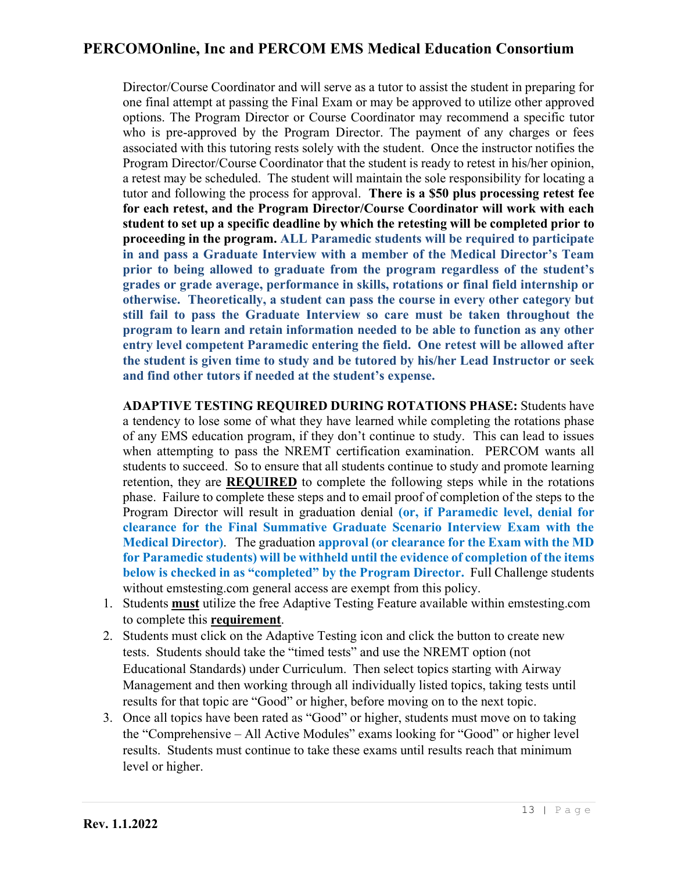Director/Course Coordinator and will serve as a tutor to assist the student in preparing for one final attempt at passing the Final Exam or may be approved to utilize other approved options. The Program Director or Course Coordinator may recommend a specific tutor who is pre-approved by the Program Director. The payment of any charges or fees associated with this tutoring rests solely with the student. Once the instructor notifies the Program Director/Course Coordinator that the student is ready to retest in his/her opinion, a retest may be scheduled. The student will maintain the sole responsibility for locating a tutor and following the process for approval. **There is a \$50 plus processing retest fee for each retest, and the Program Director/Course Coordinator will work with each student to set up a specific deadline by which the retesting will be completed prior to proceeding in the program. ALL Paramedic students will be required to participate in and pass a Graduate Interview with a member of the Medical Director's Team prior to being allowed to graduate from the program regardless of the student's grades or grade average, performance in skills, rotations or final field internship or otherwise. Theoretically, a student can pass the course in every other category but still fail to pass the Graduate Interview so care must be taken throughout the program to learn and retain information needed to be able to function as any other entry level competent Paramedic entering the field. One retest will be allowed after the student is given time to study and be tutored by his/her Lead Instructor or seek and find other tutors if needed at the student's expense.**

**ADAPTIVE TESTING REQUIRED DURING ROTATIONS PHASE:** Students have a tendency to lose some of what they have learned while completing the rotations phase of any EMS education program, if they don't continue to study. This can lead to issues when attempting to pass the NREMT certification examination. PERCOM wants all students to succeed. So to ensure that all students continue to study and promote learning retention, they are **REQUIRED** to complete the following steps while in the rotations phase. Failure to complete these steps and to email proof of completion of the steps to the Program Director will result in graduation denial **(or, if Paramedic level, denial for clearance for the Final Summative Graduate Scenario Interview Exam with the Medical Director)**. The graduation **approval (or clearance for the Exam with the MD for Paramedic students) will be withheld until the evidence of completion of the items below is checked in as "completed" by the Program Director.** Full Challenge students without emstesting.com general access are exempt from this policy.

- 1. Students **must** utilize the free Adaptive Testing Feature available within emstesting.com to complete this **requirement**.
- 2. Students must click on the Adaptive Testing icon and click the button to create new tests. Students should take the "timed tests" and use the NREMT option (not Educational Standards) under Curriculum. Then select topics starting with Airway Management and then working through all individually listed topics, taking tests until results for that topic are "Good" or higher, before moving on to the next topic.
- 3. Once all topics have been rated as "Good" or higher, students must move on to taking the "Comprehensive – All Active Modules" exams looking for "Good" or higher level results. Students must continue to take these exams until results reach that minimum level or higher.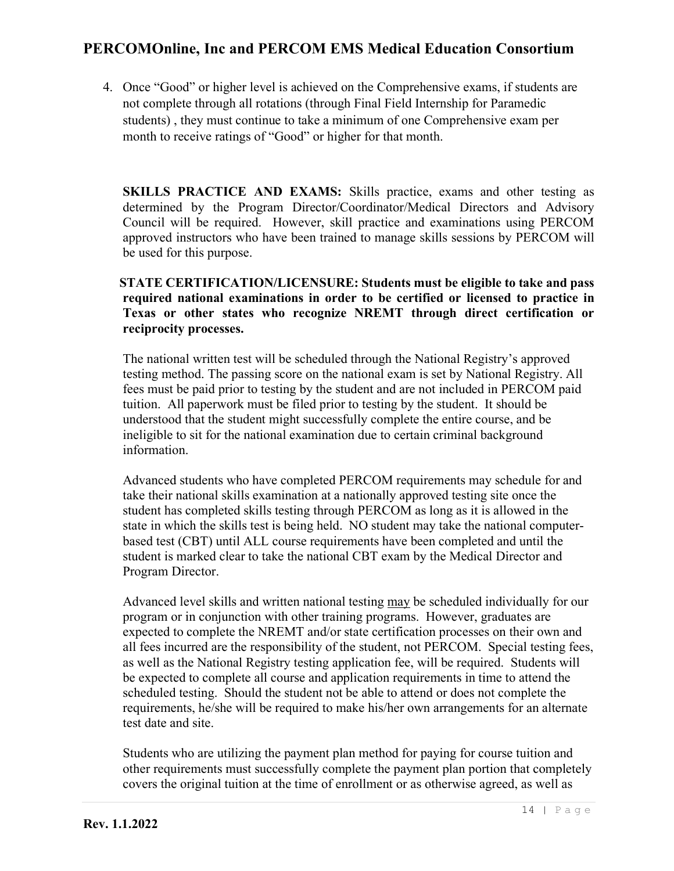4. Once "Good" or higher level is achieved on the Comprehensive exams, if students are not complete through all rotations (through Final Field Internship for Paramedic students) , they must continue to take a minimum of one Comprehensive exam per month to receive ratings of "Good" or higher for that month.

**SKILLS PRACTICE AND EXAMS:** Skills practice, exams and other testing as determined by the Program Director/Coordinator/Medical Directors and Advisory Council will be required. However, skill practice and examinations using PERCOM approved instructors who have been trained to manage skills sessions by PERCOM will be used for this purpose.

### **STATE CERTIFICATION/LICENSURE: Students must be eligible to take and pass required national examinations in order to be certified or licensed to practice in Texas or other states who recognize NREMT through direct certification or reciprocity processes.**

The national written test will be scheduled through the National Registry's approved testing method. The passing score on the national exam is set by National Registry. All fees must be paid prior to testing by the student and are not included in PERCOM paid tuition. All paperwork must be filed prior to testing by the student. It should be understood that the student might successfully complete the entire course, and be ineligible to sit for the national examination due to certain criminal background information.

Advanced students who have completed PERCOM requirements may schedule for and take their national skills examination at a nationally approved testing site once the student has completed skills testing through PERCOM as long as it is allowed in the state in which the skills test is being held. NO student may take the national computerbased test (CBT) until ALL course requirements have been completed and until the student is marked clear to take the national CBT exam by the Medical Director and Program Director.

Advanced level skills and written national testing may be scheduled individually for our program or in conjunction with other training programs. However, graduates are expected to complete the NREMT and/or state certification processes on their own and all fees incurred are the responsibility of the student, not PERCOM. Special testing fees, as well as the National Registry testing application fee, will be required. Students will be expected to complete all course and application requirements in time to attend the scheduled testing. Should the student not be able to attend or does not complete the requirements, he/she will be required to make his/her own arrangements for an alternate test date and site.

Students who are utilizing the payment plan method for paying for course tuition and other requirements must successfully complete the payment plan portion that completely covers the original tuition at the time of enrollment or as otherwise agreed, as well as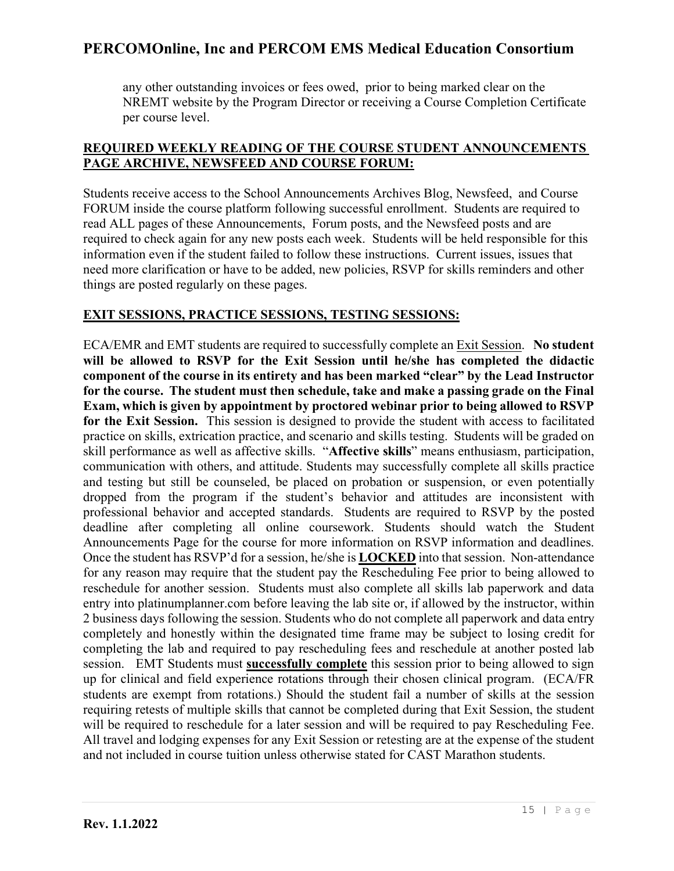any other outstanding invoices or fees owed, prior to being marked clear on the NREMT website by the Program Director or receiving a Course Completion Certificate per course level.

### **REQUIRED WEEKLY READING OF THE COURSE STUDENT ANNOUNCEMENTS PAGE ARCHIVE, NEWSFEED AND COURSE FORUM:**

Students receive access to the School Announcements Archives Blog, Newsfeed, and Course FORUM inside the course platform following successful enrollment. Students are required to read ALL pages of these Announcements, Forum posts, and the Newsfeed posts and are required to check again for any new posts each week. Students will be held responsible for this information even if the student failed to follow these instructions. Current issues, issues that need more clarification or have to be added, new policies, RSVP for skills reminders and other things are posted regularly on these pages.

### **EXIT SESSIONS, PRACTICE SESSIONS, TESTING SESSIONS:**

ECA/EMR and EMT students are required to successfully complete an Exit Session. **No student will be allowed to RSVP for the Exit Session until he/she has completed the didactic component of the course in its entirety and has been marked "clear" by the Lead Instructor for the course. The student must then schedule, take and make a passing grade on the Final Exam, which is given by appointment by proctored webinar prior to being allowed to RSVP for the Exit Session.** This session is designed to provide the student with access to facilitated practice on skills, extrication practice, and scenario and skills testing. Students will be graded on skill performance as well as affective skills. "**Affective skills**" means enthusiasm, participation, communication with others, and attitude. Students may successfully complete all skills practice and testing but still be counseled, be placed on probation or suspension, or even potentially dropped from the program if the student's behavior and attitudes are inconsistent with professional behavior and accepted standards. Students are required to RSVP by the posted deadline after completing all online coursework. Students should watch the Student Announcements Page for the course for more information on RSVP information and deadlines. Once the student has RSVP'd for a session, he/she is **LOCKED** into that session. Non-attendance for any reason may require that the student pay the Rescheduling Fee prior to being allowed to reschedule for another session. Students must also complete all skills lab paperwork and data entry into platinumplanner.com before leaving the lab site or, if allowed by the instructor, within 2 business days following the session. Students who do not complete all paperwork and data entry completely and honestly within the designated time frame may be subject to losing credit for completing the lab and required to pay rescheduling fees and reschedule at another posted lab session. EMT Students must **successfully complete** this session prior to being allowed to sign up for clinical and field experience rotations through their chosen clinical program. (ECA/FR students are exempt from rotations.) Should the student fail a number of skills at the session requiring retests of multiple skills that cannot be completed during that Exit Session, the student will be required to reschedule for a later session and will be required to pay Rescheduling Fee. All travel and lodging expenses for any Exit Session or retesting are at the expense of the student and not included in course tuition unless otherwise stated for CAST Marathon students.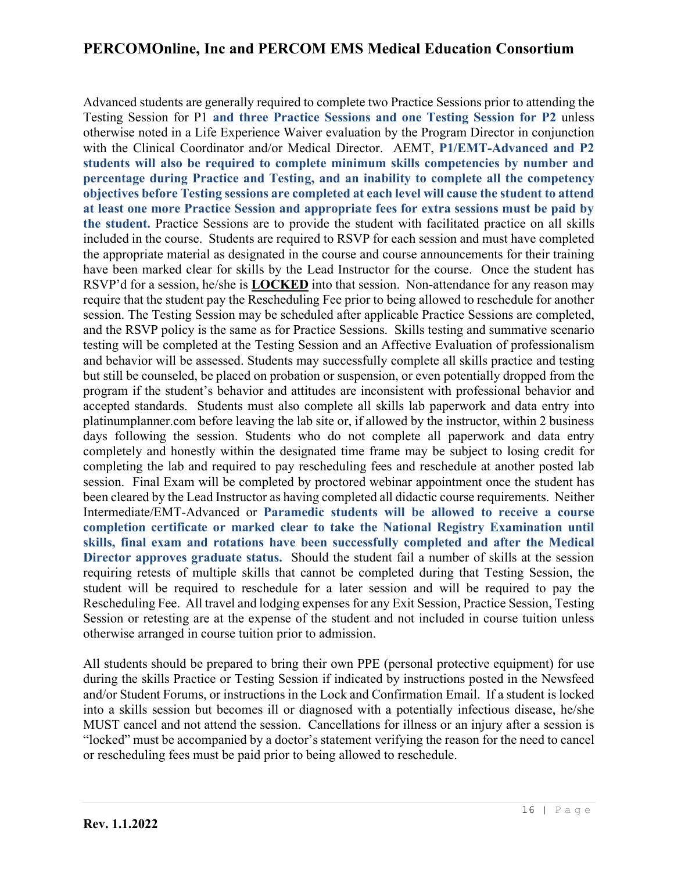Advanced students are generally required to complete two Practice Sessions prior to attending the Testing Session for P1 **and three Practice Sessions and one Testing Session for P2** unless otherwise noted in a Life Experience Waiver evaluation by the Program Director in conjunction with the Clinical Coordinator and/or Medical Director. AEMT, **P1/EMT-Advanced and P2 students will also be required to complete minimum skills competencies by number and percentage during Practice and Testing, and an inability to complete all the competency objectives before Testing sessions are completed at each level will cause the student to attend at least one more Practice Session and appropriate fees for extra sessions must be paid by the student.** Practice Sessions are to provide the student with facilitated practice on all skills included in the course. Students are required to RSVP for each session and must have completed the appropriate material as designated in the course and course announcements for their training have been marked clear for skills by the Lead Instructor for the course. Once the student has RSVP'd for a session, he/she is **LOCKED** into that session. Non-attendance for any reason may require that the student pay the Rescheduling Fee prior to being allowed to reschedule for another session. The Testing Session may be scheduled after applicable Practice Sessions are completed, and the RSVP policy is the same as for Practice Sessions. Skills testing and summative scenario testing will be completed at the Testing Session and an Affective Evaluation of professionalism and behavior will be assessed. Students may successfully complete all skills practice and testing but still be counseled, be placed on probation or suspension, or even potentially dropped from the program if the student's behavior and attitudes are inconsistent with professional behavior and accepted standards. Students must also complete all skills lab paperwork and data entry into platinumplanner.com before leaving the lab site or, if allowed by the instructor, within 2 business days following the session. Students who do not complete all paperwork and data entry completely and honestly within the designated time frame may be subject to losing credit for completing the lab and required to pay rescheduling fees and reschedule at another posted lab session. Final Exam will be completed by proctored webinar appointment once the student has been cleared by the Lead Instructor as having completed all didactic course requirements. Neither Intermediate/EMT-Advanced or **Paramedic students will be allowed to receive a course completion certificate or marked clear to take the National Registry Examination until skills, final exam and rotations have been successfully completed and after the Medical Director approves graduate status.** Should the student fail a number of skills at the session requiring retests of multiple skills that cannot be completed during that Testing Session, the student will be required to reschedule for a later session and will be required to pay the Rescheduling Fee. All travel and lodging expenses for any Exit Session, Practice Session, Testing Session or retesting are at the expense of the student and not included in course tuition unless otherwise arranged in course tuition prior to admission.

All students should be prepared to bring their own PPE (personal protective equipment) for use during the skills Practice or Testing Session if indicated by instructions posted in the Newsfeed and/or Student Forums, or instructions in the Lock and Confirmation Email. If a student is locked into a skills session but becomes ill or diagnosed with a potentially infectious disease, he/she MUST cancel and not attend the session. Cancellations for illness or an injury after a session is "locked" must be accompanied by a doctor's statement verifying the reason for the need to cancel or rescheduling fees must be paid prior to being allowed to reschedule.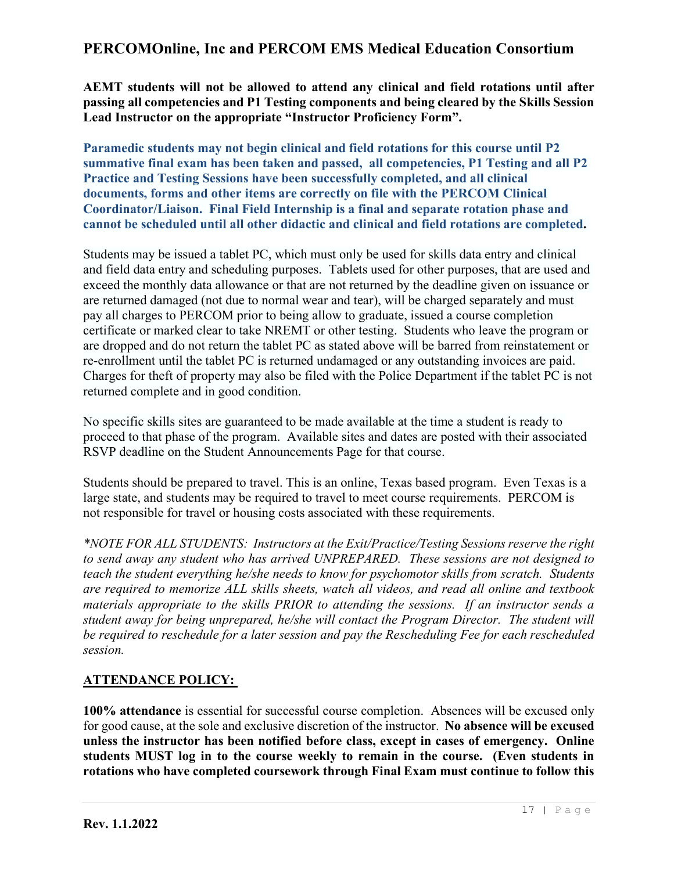**AEMT students will not be allowed to attend any clinical and field rotations until after passing all competencies and P1 Testing components and being cleared by the Skills Session Lead Instructor on the appropriate "Instructor Proficiency Form".**

**Paramedic students may not begin clinical and field rotations for this course until P2 summative final exam has been taken and passed, all competencies, P1 Testing and all P2 Practice and Testing Sessions have been successfully completed, and all clinical documents, forms and other items are correctly on file with the PERCOM Clinical Coordinator/Liaison. Final Field Internship is a final and separate rotation phase and cannot be scheduled until all other didactic and clinical and field rotations are completed.**

Students may be issued a tablet PC, which must only be used for skills data entry and clinical and field data entry and scheduling purposes. Tablets used for other purposes, that are used and exceed the monthly data allowance or that are not returned by the deadline given on issuance or are returned damaged (not due to normal wear and tear), will be charged separately and must pay all charges to PERCOM prior to being allow to graduate, issued a course completion certificate or marked clear to take NREMT or other testing. Students who leave the program or are dropped and do not return the tablet PC as stated above will be barred from reinstatement or re-enrollment until the tablet PC is returned undamaged or any outstanding invoices are paid. Charges for theft of property may also be filed with the Police Department if the tablet PC is not returned complete and in good condition.

No specific skills sites are guaranteed to be made available at the time a student is ready to proceed to that phase of the program. Available sites and dates are posted with their associated RSVP deadline on the Student Announcements Page for that course.

Students should be prepared to travel. This is an online, Texas based program. Even Texas is a large state, and students may be required to travel to meet course requirements. PERCOM is not responsible for travel or housing costs associated with these requirements.

*\*NOTE FOR ALL STUDENTS: Instructors at the Exit/Practice/Testing Sessions reserve the right to send away any student who has arrived UNPREPARED. These sessions are not designed to teach the student everything he/she needs to know for psychomotor skills from scratch. Students are required to memorize ALL skills sheets, watch all videos, and read all online and textbook materials appropriate to the skills PRIOR to attending the sessions. If an instructor sends a student away for being unprepared, he/she will contact the Program Director. The student will be required to reschedule for a later session and pay the Rescheduling Fee for each rescheduled session.*

### **ATTENDANCE POLICY:**

**100% attendance** is essential for successful course completion. Absences will be excused only for good cause, at the sole and exclusive discretion of the instructor. **No absence will be excused unless the instructor has been notified before class, except in cases of emergency. Online students MUST log in to the course weekly to remain in the course. (Even students in rotations who have completed coursework through Final Exam must continue to follow this**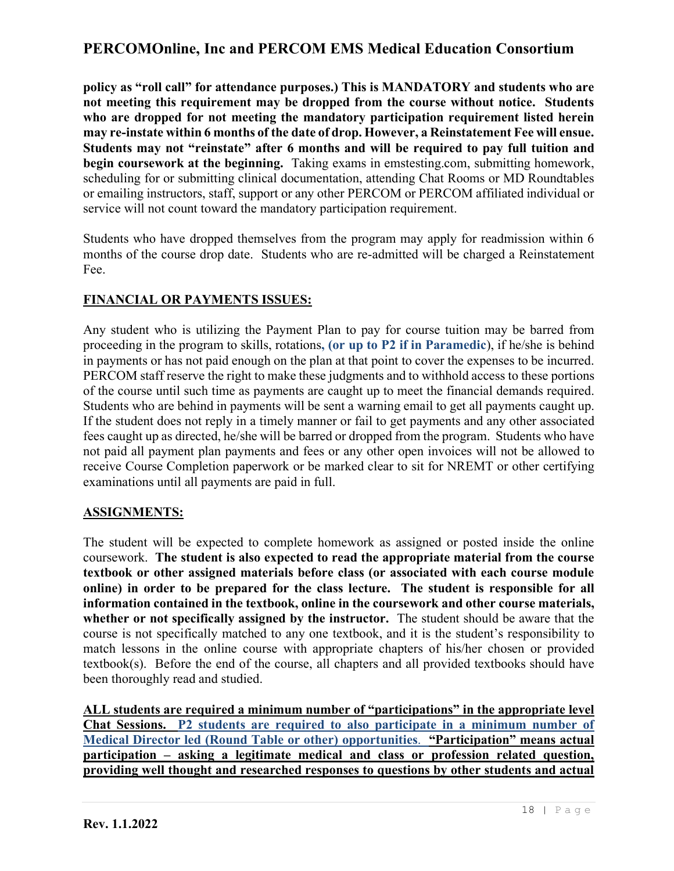**policy as "roll call" for attendance purposes.) This is MANDATORY and students who are not meeting this requirement may be dropped from the course without notice. Students who are dropped for not meeting the mandatory participation requirement listed herein may re-instate within 6 months of the date of drop. However, a Reinstatement Fee will ensue. Students may not "reinstate" after 6 months and will be required to pay full tuition and begin coursework at the beginning.** Taking exams in emstesting.com, submitting homework, scheduling for or submitting clinical documentation, attending Chat Rooms or MD Roundtables or emailing instructors, staff, support or any other PERCOM or PERCOM affiliated individual or service will not count toward the mandatory participation requirement.

Students who have dropped themselves from the program may apply for readmission within 6 months of the course drop date. Students who are re-admitted will be charged a Reinstatement Fee.

### **FINANCIAL OR PAYMENTS ISSUES:**

Any student who is utilizing the Payment Plan to pay for course tuition may be barred from proceeding in the program to skills, rotations**, (or up to P2 if in Paramedic**), if he/she is behind in payments or has not paid enough on the plan at that point to cover the expenses to be incurred. PERCOM staff reserve the right to make these judgments and to withhold access to these portions of the course until such time as payments are caught up to meet the financial demands required. Students who are behind in payments will be sent a warning email to get all payments caught up. If the student does not reply in a timely manner or fail to get payments and any other associated fees caught up as directed, he/she will be barred or dropped from the program. Students who have not paid all payment plan payments and fees or any other open invoices will not be allowed to receive Course Completion paperwork or be marked clear to sit for NREMT or other certifying examinations until all payments are paid in full.

### **ASSIGNMENTS:**

The student will be expected to complete homework as assigned or posted inside the online coursework. **The student is also expected to read the appropriate material from the course textbook or other assigned materials before class (or associated with each course module online) in order to be prepared for the class lecture. The student is responsible for all information contained in the textbook, online in the coursework and other course materials, whether or not specifically assigned by the instructor.** The student should be aware that the course is not specifically matched to any one textbook, and it is the student's responsibility to match lessons in the online course with appropriate chapters of his/her chosen or provided textbook(s). Before the end of the course, all chapters and all provided textbooks should have been thoroughly read and studied.

**ALL students are required a minimum number of "participations" in the appropriate level Chat Sessions. P2 students are required to also participate in a minimum number of Medical Director led (Round Table or other) opportunities**. **"Participation" means actual participation – asking a legitimate medical and class or profession related question, providing well thought and researched responses to questions by other students and actual**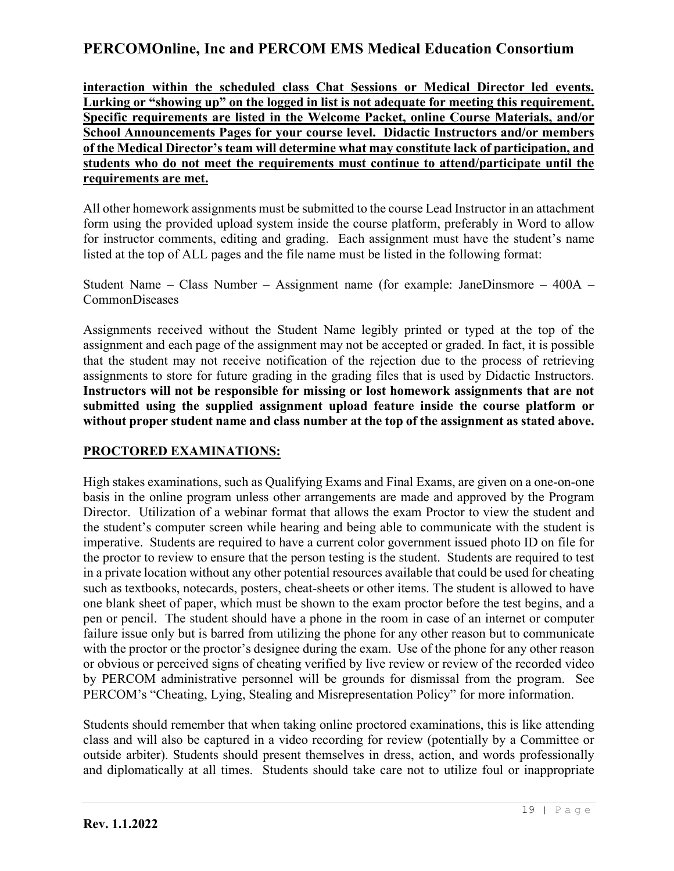**interaction within the scheduled class Chat Sessions or Medical Director led events. Lurking or "showing up" on the logged in list is not adequate for meeting this requirement. Specific requirements are listed in the Welcome Packet, online Course Materials, and/or School Announcements Pages for your course level. Didactic Instructors and/or members of the Medical Director's team will determine what may constitute lack of participation, and students who do not meet the requirements must continue to attend/participate until the requirements are met.**

All other homework assignments must be submitted to the course Lead Instructor in an attachment form using the provided upload system inside the course platform, preferably in Word to allow for instructor comments, editing and grading. Each assignment must have the student's name listed at the top of ALL pages and the file name must be listed in the following format:

Student Name – Class Number – Assignment name (for example: JaneDinsmore – 400A – CommonDiseases

Assignments received without the Student Name legibly printed or typed at the top of the assignment and each page of the assignment may not be accepted or graded. In fact, it is possible that the student may not receive notification of the rejection due to the process of retrieving assignments to store for future grading in the grading files that is used by Didactic Instructors. **Instructors will not be responsible for missing or lost homework assignments that are not submitted using the supplied assignment upload feature inside the course platform or without proper student name and class number at the top of the assignment as stated above.**

### **PROCTORED EXAMINATIONS:**

High stakes examinations, such as Qualifying Exams and Final Exams, are given on a one-on-one basis in the online program unless other arrangements are made and approved by the Program Director. Utilization of a webinar format that allows the exam Proctor to view the student and the student's computer screen while hearing and being able to communicate with the student is imperative. Students are required to have a current color government issued photo ID on file for the proctor to review to ensure that the person testing is the student. Students are required to test in a private location without any other potential resources available that could be used for cheating such as textbooks, notecards, posters, cheat-sheets or other items. The student is allowed to have one blank sheet of paper, which must be shown to the exam proctor before the test begins, and a pen or pencil. The student should have a phone in the room in case of an internet or computer failure issue only but is barred from utilizing the phone for any other reason but to communicate with the proctor or the proctor's designee during the exam. Use of the phone for any other reason or obvious or perceived signs of cheating verified by live review or review of the recorded video by PERCOM administrative personnel will be grounds for dismissal from the program. See PERCOM's "Cheating, Lying, Stealing and Misrepresentation Policy" for more information.

Students should remember that when taking online proctored examinations, this is like attending class and will also be captured in a video recording for review (potentially by a Committee or outside arbiter). Students should present themselves in dress, action, and words professionally and diplomatically at all times. Students should take care not to utilize foul or inappropriate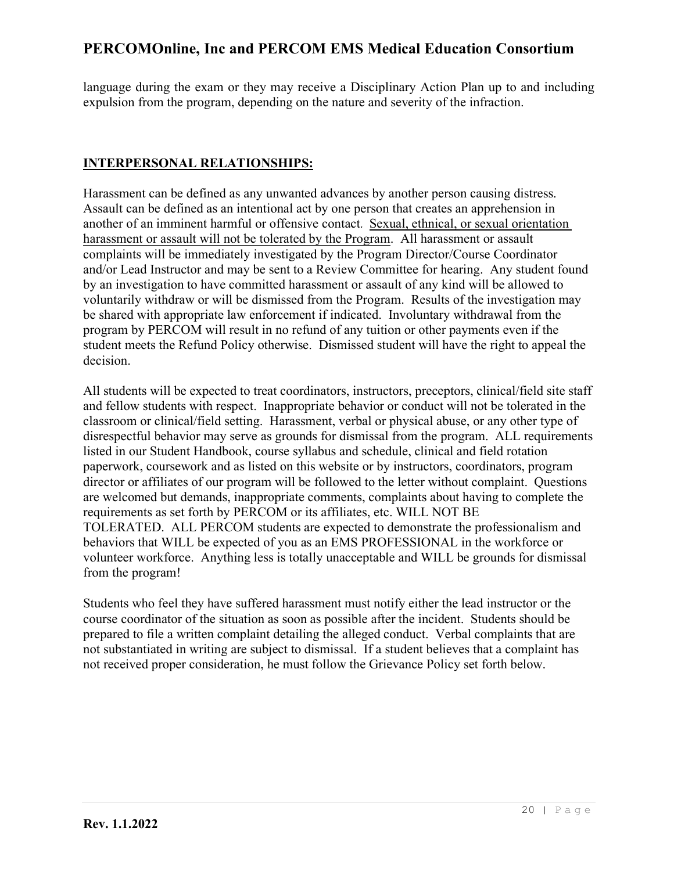language during the exam or they may receive a Disciplinary Action Plan up to and including expulsion from the program, depending on the nature and severity of the infraction.

### **INTERPERSONAL RELATIONSHIPS:**

Harassment can be defined as any unwanted advances by another person causing distress. Assault can be defined as an intentional act by one person that creates an apprehension in another of an imminent harmful or offensive contact*.* Sexual, ethnical, or sexual orientation harassment or assault will not be tolerated by the Program. All harassment or assault complaints will be immediately investigated by the Program Director/Course Coordinator and/or Lead Instructor and may be sent to a Review Committee for hearing. Any student found by an investigation to have committed harassment or assault of any kind will be allowed to voluntarily withdraw or will be dismissed from the Program. Results of the investigation may be shared with appropriate law enforcement if indicated. Involuntary withdrawal from the program by PERCOM will result in no refund of any tuition or other payments even if the student meets the Refund Policy otherwise. Dismissed student will have the right to appeal the decision.

All students will be expected to treat coordinators, instructors, preceptors, clinical/field site staff and fellow students with respect. Inappropriate behavior or conduct will not be tolerated in the classroom or clinical/field setting. Harassment, verbal or physical abuse, or any other type of disrespectful behavior may serve as grounds for dismissal from the program. ALL requirements listed in our Student Handbook, course syllabus and schedule, clinical and field rotation paperwork, coursework and as listed on this website or by instructors, coordinators, program director or affiliates of our program will be followed to the letter without complaint. Questions are welcomed but demands, inappropriate comments, complaints about having to complete the requirements as set forth by PERCOM or its affiliates, etc. WILL NOT BE TOLERATED. ALL PERCOM students are expected to demonstrate the professionalism and behaviors that WILL be expected of you as an EMS PROFESSIONAL in the workforce or volunteer workforce. Anything less is totally unacceptable and WILL be grounds for dismissal from the program!

Students who feel they have suffered harassment must notify either the lead instructor or the course coordinator of the situation as soon as possible after the incident. Students should be prepared to file a written complaint detailing the alleged conduct. Verbal complaints that are not substantiated in writing are subject to dismissal. If a student believes that a complaint has not received proper consideration, he must follow the Grievance Policy set forth below.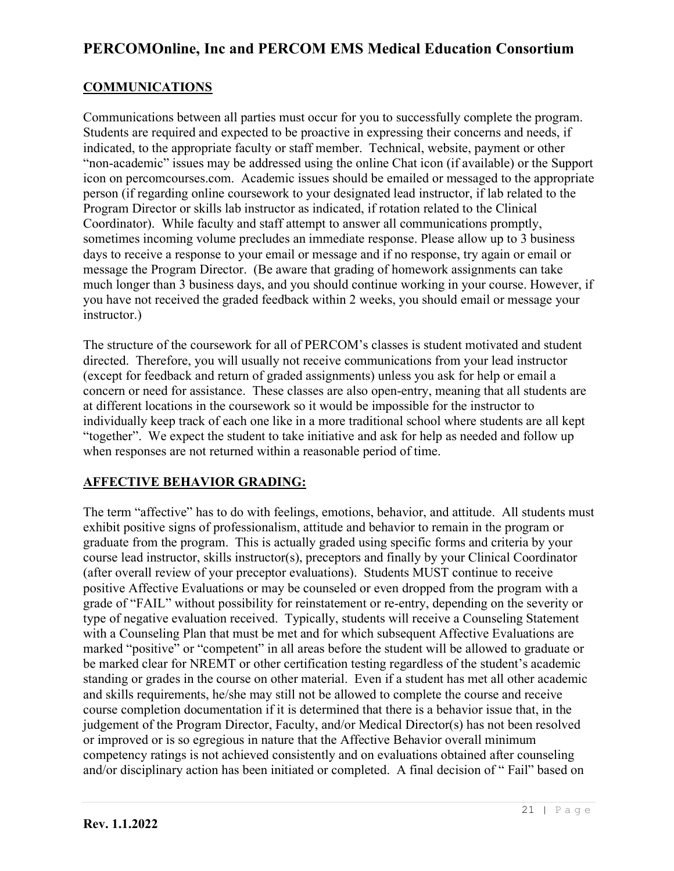### **COMMUNICATIONS**

Communications between all parties must occur for you to successfully complete the program. Students are required and expected to be proactive in expressing their concerns and needs, if indicated, to the appropriate faculty or staff member. Technical, website, payment or other "non-academic" issues may be addressed using the online Chat icon (if available) or the Support icon on percomcourses.com. Academic issues should be emailed or messaged to the appropriate person (if regarding online coursework to your designated lead instructor, if lab related to the Program Director or skills lab instructor as indicated, if rotation related to the Clinical Coordinator). While faculty and staff attempt to answer all communications promptly, sometimes incoming volume precludes an immediate response. Please allow up to 3 business days to receive a response to your email or message and if no response, try again or email or message the Program Director. (Be aware that grading of homework assignments can take much longer than 3 business days, and you should continue working in your course. However, if you have not received the graded feedback within 2 weeks, you should email or message your instructor.)

The structure of the coursework for all of PERCOM's classes is student motivated and student directed. Therefore, you will usually not receive communications from your lead instructor (except for feedback and return of graded assignments) unless you ask for help or email a concern or need for assistance. These classes are also open-entry, meaning that all students are at different locations in the coursework so it would be impossible for the instructor to individually keep track of each one like in a more traditional school where students are all kept "together". We expect the student to take initiative and ask for help as needed and follow up when responses are not returned within a reasonable period of time.

### **AFFECTIVE BEHAVIOR GRADING:**

The term "affective" has to do with feelings, emotions, behavior, and attitude. All students must exhibit positive signs of professionalism, attitude and behavior to remain in the program or graduate from the program. This is actually graded using specific forms and criteria by your course lead instructor, skills instructor(s), preceptors and finally by your Clinical Coordinator (after overall review of your preceptor evaluations). Students MUST continue to receive positive Affective Evaluations or may be counseled or even dropped from the program with a grade of "FAIL" without possibility for reinstatement or re-entry, depending on the severity or type of negative evaluation received. Typically, students will receive a Counseling Statement with a Counseling Plan that must be met and for which subsequent Affective Evaluations are marked "positive" or "competent" in all areas before the student will be allowed to graduate or be marked clear for NREMT or other certification testing regardless of the student's academic standing or grades in the course on other material. Even if a student has met all other academic and skills requirements, he/she may still not be allowed to complete the course and receive course completion documentation if it is determined that there is a behavior issue that, in the judgement of the Program Director, Faculty, and/or Medical Director(s) has not been resolved or improved or is so egregious in nature that the Affective Behavior overall minimum competency ratings is not achieved consistently and on evaluations obtained after counseling and/or disciplinary action has been initiated or completed. A final decision of " Fail" based on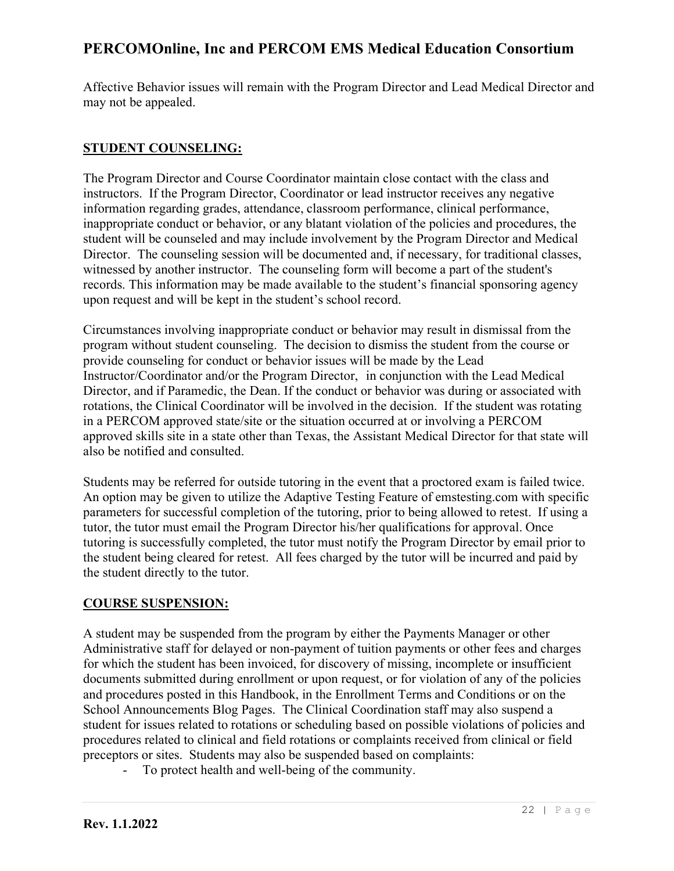Affective Behavior issues will remain with the Program Director and Lead Medical Director and may not be appealed.

### **STUDENT COUNSELING:**

The Program Director and Course Coordinator maintain close contact with the class and instructors. If the Program Director, Coordinator or lead instructor receives any negative information regarding grades, attendance, classroom performance, clinical performance, inappropriate conduct or behavior, or any blatant violation of the policies and procedures, the student will be counseled and may include involvement by the Program Director and Medical Director. The counseling session will be documented and, if necessary, for traditional classes, witnessed by another instructor. The counseling form will become a part of the student's records. This information may be made available to the student's financial sponsoring agency upon request and will be kept in the student's school record.

Circumstances involving inappropriate conduct or behavior may result in dismissal from the program without student counseling. The decision to dismiss the student from the course or provide counseling for conduct or behavior issues will be made by the Lead Instructor/Coordinator and/or the Program Director, in conjunction with the Lead Medical Director, and if Paramedic, the Dean. If the conduct or behavior was during or associated with rotations, the Clinical Coordinator will be involved in the decision. If the student was rotating in a PERCOM approved state/site or the situation occurred at or involving a PERCOM approved skills site in a state other than Texas, the Assistant Medical Director for that state will also be notified and consulted.

Students may be referred for outside tutoring in the event that a proctored exam is failed twice. An option may be given to utilize the Adaptive Testing Feature of emstesting.com with specific parameters for successful completion of the tutoring, prior to being allowed to retest. If using a tutor, the tutor must email the Program Director his/her qualifications for approval. Once tutoring is successfully completed, the tutor must notify the Program Director by email prior to the student being cleared for retest. All fees charged by the tutor will be incurred and paid by the student directly to the tutor.

### **COURSE SUSPENSION:**

A student may be suspended from the program by either the Payments Manager or other Administrative staff for delayed or non-payment of tuition payments or other fees and charges for which the student has been invoiced, for discovery of missing, incomplete or insufficient documents submitted during enrollment or upon request, or for violation of any of the policies and procedures posted in this Handbook, in the Enrollment Terms and Conditions or on the School Announcements Blog Pages. The Clinical Coordination staff may also suspend a student for issues related to rotations or scheduling based on possible violations of policies and procedures related to clinical and field rotations or complaints received from clinical or field preceptors or sites. Students may also be suspended based on complaints:

To protect health and well-being of the community.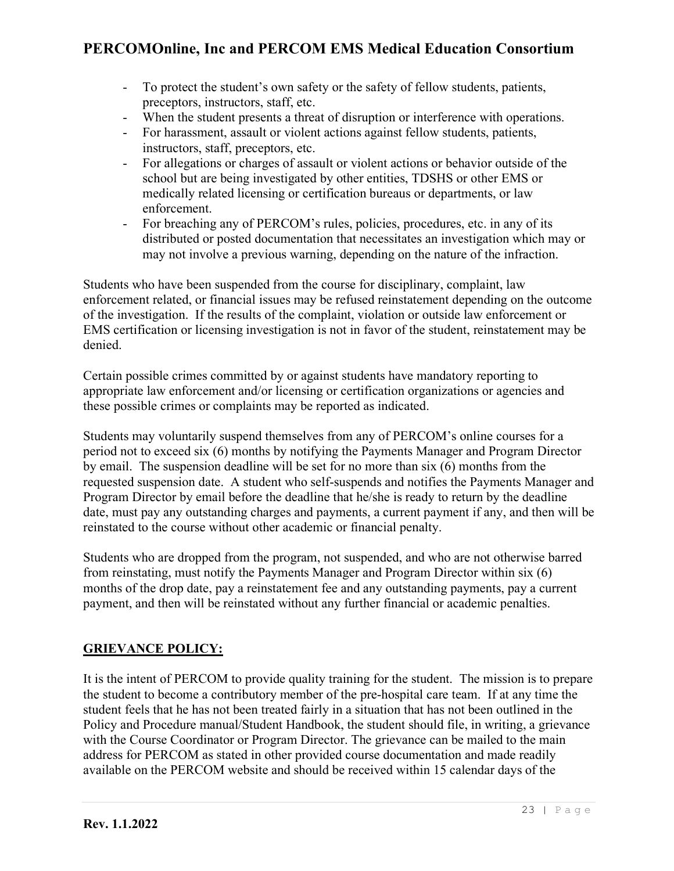- To protect the student's own safety or the safety of fellow students, patients, preceptors, instructors, staff, etc.
- When the student presents a threat of disruption or interference with operations.
- For harassment, assault or violent actions against fellow students, patients, instructors, staff, preceptors, etc.
- For allegations or charges of assault or violent actions or behavior outside of the school but are being investigated by other entities, TDSHS or other EMS or medically related licensing or certification bureaus or departments, or law enforcement.
- For breaching any of PERCOM's rules, policies, procedures, etc. in any of its distributed or posted documentation that necessitates an investigation which may or may not involve a previous warning, depending on the nature of the infraction.

Students who have been suspended from the course for disciplinary, complaint, law enforcement related, or financial issues may be refused reinstatement depending on the outcome of the investigation. If the results of the complaint, violation or outside law enforcement or EMS certification or licensing investigation is not in favor of the student, reinstatement may be denied.

Certain possible crimes committed by or against students have mandatory reporting to appropriate law enforcement and/or licensing or certification organizations or agencies and these possible crimes or complaints may be reported as indicated.

Students may voluntarily suspend themselves from any of PERCOM's online courses for a period not to exceed six (6) months by notifying the Payments Manager and Program Director by email. The suspension deadline will be set for no more than six (6) months from the requested suspension date. A student who self-suspends and notifies the Payments Manager and Program Director by email before the deadline that he/she is ready to return by the deadline date, must pay any outstanding charges and payments, a current payment if any, and then will be reinstated to the course without other academic or financial penalty.

Students who are dropped from the program, not suspended, and who are not otherwise barred from reinstating, must notify the Payments Manager and Program Director within six (6) months of the drop date, pay a reinstatement fee and any outstanding payments, pay a current payment, and then will be reinstated without any further financial or academic penalties.

### **GRIEVANCE POLICY:**

It is the intent of PERCOM to provide quality training for the student. The mission is to prepare the student to become a contributory member of the pre-hospital care team. If at any time the student feels that he has not been treated fairly in a situation that has not been outlined in the Policy and Procedure manual/Student Handbook, the student should file, in writing, a grievance with the Course Coordinator or Program Director. The grievance can be mailed to the main address for PERCOM as stated in other provided course documentation and made readily available on the PERCOM website and should be received within 15 calendar days of the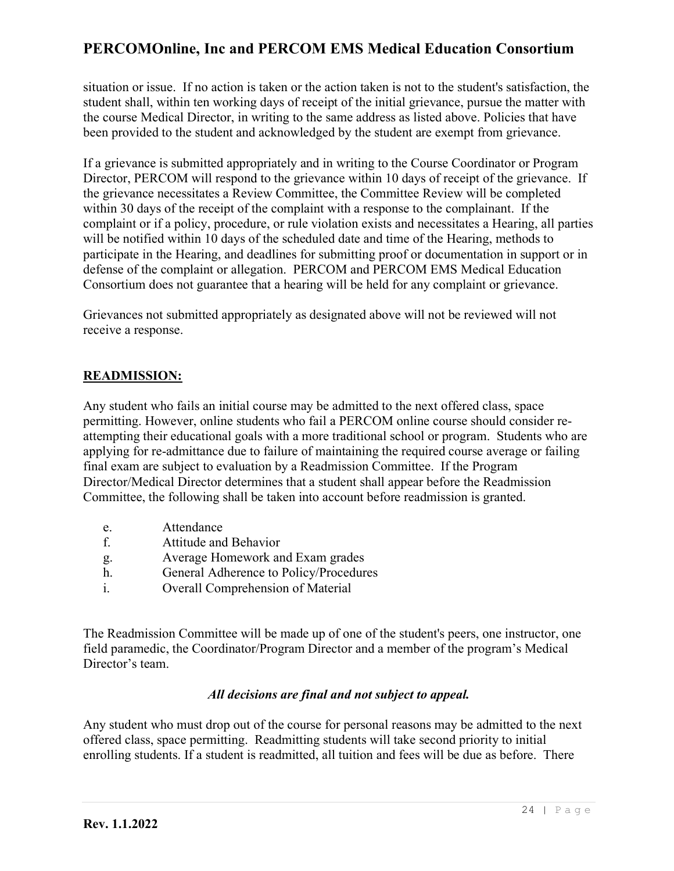situation or issue. If no action is taken or the action taken is not to the student's satisfaction, the student shall, within ten working days of receipt of the initial grievance, pursue the matter with the course Medical Director, in writing to the same address as listed above. Policies that have been provided to the student and acknowledged by the student are exempt from grievance.

If a grievance is submitted appropriately and in writing to the Course Coordinator or Program Director, PERCOM will respond to the grievance within 10 days of receipt of the grievance. If the grievance necessitates a Review Committee, the Committee Review will be completed within 30 days of the receipt of the complaint with a response to the complainant. If the complaint or if a policy, procedure, or rule violation exists and necessitates a Hearing, all parties will be notified within 10 days of the scheduled date and time of the Hearing, methods to participate in the Hearing, and deadlines for submitting proof or documentation in support or in defense of the complaint or allegation. PERCOM and PERCOM EMS Medical Education Consortium does not guarantee that a hearing will be held for any complaint or grievance.

Grievances not submitted appropriately as designated above will not be reviewed will not receive a response.

### **READMISSION:**

Any student who fails an initial course may be admitted to the next offered class, space permitting. However, online students who fail a PERCOM online course should consider reattempting their educational goals with a more traditional school or program. Students who are applying for re-admittance due to failure of maintaining the required course average or failing final exam are subject to evaluation by a Readmission Committee. If the Program Director/Medical Director determines that a student shall appear before the Readmission Committee, the following shall be taken into account before readmission is granted.

- e. Attendance
- f. Attitude and Behavior
- g. Average Homework and Exam grades
- h. General Adherence to Policy/Procedures
- i. Overall Comprehension of Material

The Readmission Committee will be made up of one of the student's peers, one instructor, one field paramedic, the Coordinator/Program Director and a member of the program's Medical Director's team.

### *All decisions are final and not subject to appeal.*

Any student who must drop out of the course for personal reasons may be admitted to the next offered class, space permitting. Readmitting students will take second priority to initial enrolling students. If a student is readmitted, all tuition and fees will be due as before. There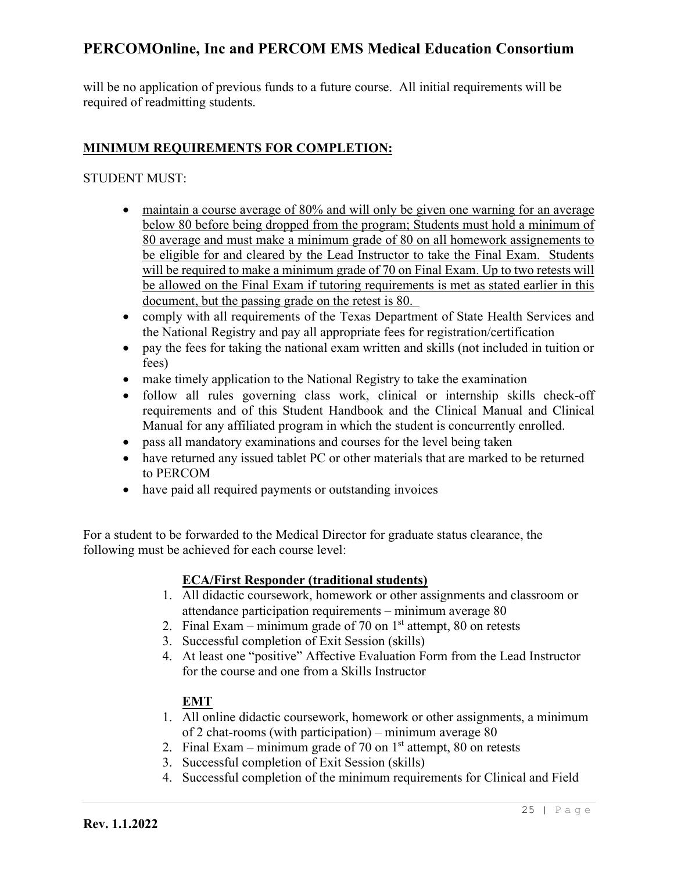will be no application of previous funds to a future course. All initial requirements will be required of readmitting students.

### **MINIMUM REQUIREMENTS FOR COMPLETION:**

#### STUDENT MUST:

- maintain a course average of 80% and will only be given one warning for an average below 80 before being dropped from the program; Students must hold a minimum of 80 average and must make a minimum grade of 80 on all homework assignements to be eligible for and cleared by the Lead Instructor to take the Final Exam. Students will be required to make a minimum grade of 70 on Final Exam. Up to two retests will be allowed on the Final Exam if tutoring requirements is met as stated earlier in this document, but the passing grade on the retest is 80.
- comply with all requirements of the Texas Department of State Health Services and the National Registry and pay all appropriate fees for registration/certification
- pay the fees for taking the national exam written and skills (not included in tuition or fees)
- make timely application to the National Registry to take the examination
- follow all rules governing class work, clinical or internship skills check-off requirements and of this Student Handbook and the Clinical Manual and Clinical Manual for any affiliated program in which the student is concurrently enrolled.
- pass all mandatory examinations and courses for the level being taken
- have returned any issued tablet PC or other materials that are marked to be returned to PERCOM
- have paid all required payments or outstanding invoices

For a student to be forwarded to the Medical Director for graduate status clearance, the following must be achieved for each course level:

### **ECA/First Responder (traditional students)**

- 1. All didactic coursework, homework or other assignments and classroom or attendance participation requirements – minimum average 80
- 2. Final Exam minimum grade of 70 on  $1<sup>st</sup>$  attempt, 80 on retests
- 3. Successful completion of Exit Session (skills)
- 4. At least one "positive" Affective Evaluation Form from the Lead Instructor for the course and one from a Skills Instructor

### **EMT**

- 1. All online didactic coursework, homework or other assignments, a minimum of 2 chat-rooms (with participation) – minimum average 80
- 2. Final Exam minimum grade of 70 on  $1<sup>st</sup>$  attempt, 80 on retests
- 3. Successful completion of Exit Session (skills)
- 4. Successful completion of the minimum requirements for Clinical and Field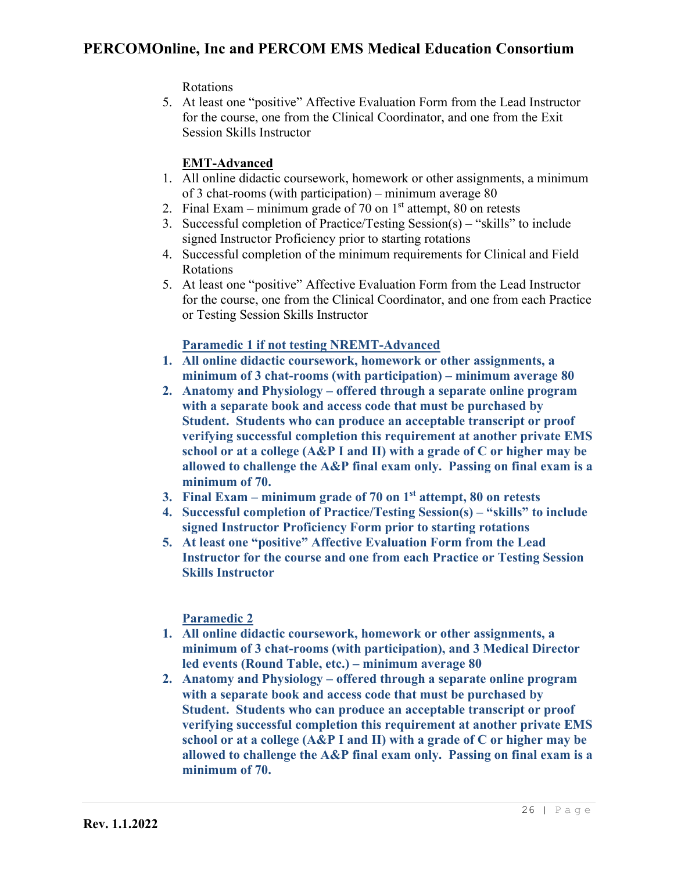Rotations

5. At least one "positive" Affective Evaluation Form from the Lead Instructor for the course, one from the Clinical Coordinator, and one from the Exit Session Skills Instructor

## **EMT-Advanced**

- 1. All online didactic coursework, homework or other assignments, a minimum of 3 chat-rooms (with participation) – minimum average 80
- 2. Final Exam minimum grade of 70 on  $1<sup>st</sup>$  attempt, 80 on retests
- 3. Successful completion of Practice/Testing Session(s) "skills" to include signed Instructor Proficiency prior to starting rotations
- 4. Successful completion of the minimum requirements for Clinical and Field Rotations
- 5. At least one "positive" Affective Evaluation Form from the Lead Instructor for the course, one from the Clinical Coordinator, and one from each Practice or Testing Session Skills Instructor

### **Paramedic 1 if not testing NREMT-Advanced**

- **1. All online didactic coursework, homework or other assignments, a minimum of 3 chat-rooms (with participation) – minimum average 80**
- **2. Anatomy and Physiology – offered through a separate online program with a separate book and access code that must be purchased by Student. Students who can produce an acceptable transcript or proof verifying successful completion this requirement at another private EMS school or at a college (A&P I and II) with a grade of C or higher may be allowed to challenge the A&P final exam only. Passing on final exam is a minimum of 70.**
- **3. Final Exam – minimum grade of 70 on 1st attempt, 80 on retests**
- **4. Successful completion of Practice/Testing Session(s) – "skills" to include signed Instructor Proficiency Form prior to starting rotations**
- **5. At least one "positive" Affective Evaluation Form from the Lead Instructor for the course and one from each Practice or Testing Session Skills Instructor**

## **Paramedic 2**

- **1. All online didactic coursework, homework or other assignments, a minimum of 3 chat-rooms (with participation), and 3 Medical Director led events (Round Table, etc.) – minimum average 80**
- **2. Anatomy and Physiology – offered through a separate online program with a separate book and access code that must be purchased by Student. Students who can produce an acceptable transcript or proof verifying successful completion this requirement at another private EMS school or at a college (A&P I and II) with a grade of C or higher may be allowed to challenge the A&P final exam only. Passing on final exam is a minimum of 70.**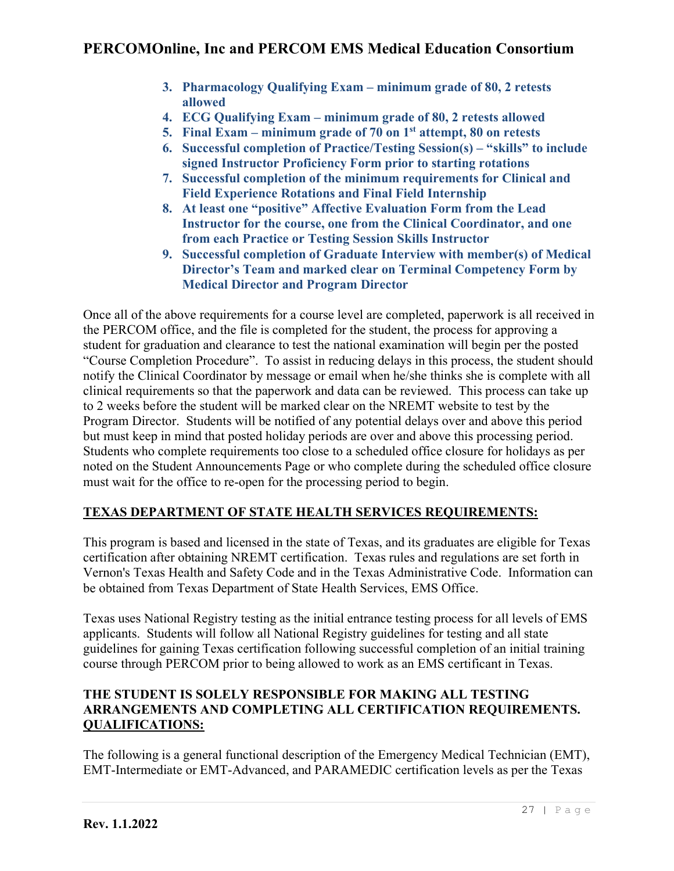- **3. Pharmacology Qualifying Exam – minimum grade of 80, 2 retests allowed**
- **4. ECG Qualifying Exam – minimum grade of 80, 2 retests allowed**
- **5. Final Exam – minimum grade of 70 on 1st attempt, 80 on retests**
- **6. Successful completion of Practice/Testing Session(s) – "skills" to include signed Instructor Proficiency Form prior to starting rotations**
- **7. Successful completion of the minimum requirements for Clinical and Field Experience Rotations and Final Field Internship**
- **8. At least one "positive" Affective Evaluation Form from the Lead Instructor for the course, one from the Clinical Coordinator, and one from each Practice or Testing Session Skills Instructor**
- **9. Successful completion of Graduate Interview with member(s) of Medical Director's Team and marked clear on Terminal Competency Form by Medical Director and Program Director**

Once all of the above requirements for a course level are completed, paperwork is all received in the PERCOM office, and the file is completed for the student, the process for approving a student for graduation and clearance to test the national examination will begin per the posted "Course Completion Procedure". To assist in reducing delays in this process, the student should notify the Clinical Coordinator by message or email when he/she thinks she is complete with all clinical requirements so that the paperwork and data can be reviewed. This process can take up to 2 weeks before the student will be marked clear on the NREMT website to test by the Program Director. Students will be notified of any potential delays over and above this period but must keep in mind that posted holiday periods are over and above this processing period. Students who complete requirements too close to a scheduled office closure for holidays as per noted on the Student Announcements Page or who complete during the scheduled office closure must wait for the office to re-open for the processing period to begin.

## **TEXAS DEPARTMENT OF STATE HEALTH SERVICES REQUIREMENTS:**

This program is based and licensed in the state of Texas, and its graduates are eligible for Texas certification after obtaining NREMT certification. Texas rules and regulations are set forth in Vernon's Texas Health and Safety Code and in the Texas Administrative Code. Information can be obtained from Texas Department of State Health Services, EMS Office.

Texas uses National Registry testing as the initial entrance testing process for all levels of EMS applicants. Students will follow all National Registry guidelines for testing and all state guidelines for gaining Texas certification following successful completion of an initial training course through PERCOM prior to being allowed to work as an EMS certificant in Texas.

### **THE STUDENT IS SOLELY RESPONSIBLE FOR MAKING ALL TESTING ARRANGEMENTS AND COMPLETING ALL CERTIFICATION REQUIREMENTS. QUALIFICATIONS:**

The following is a general functional description of the Emergency Medical Technician (EMT), EMT-Intermediate or EMT-Advanced, and PARAMEDIC certification levels as per the Texas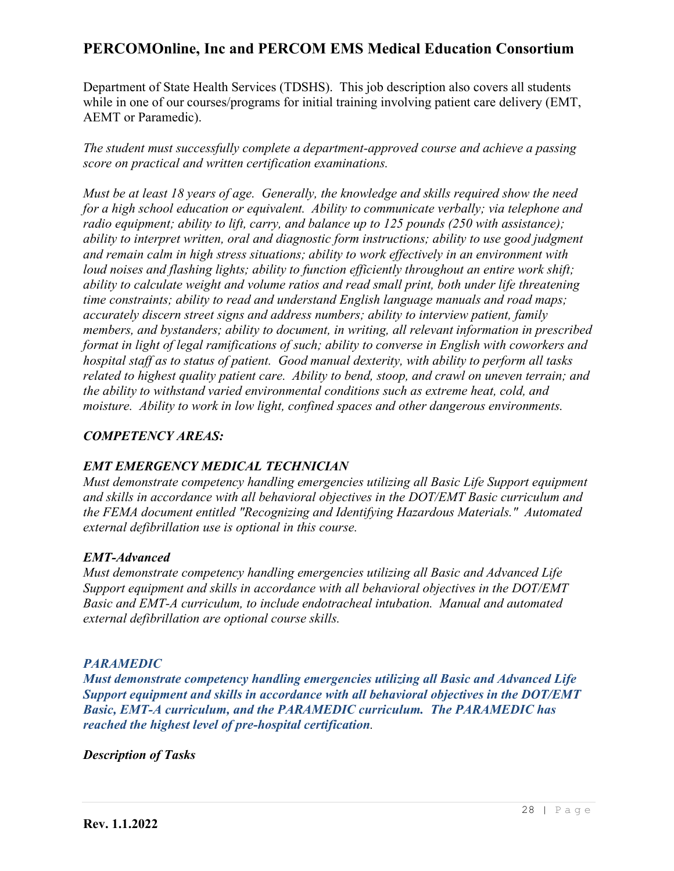Department of State Health Services (TDSHS). This job description also covers all students while in one of our courses/programs for initial training involving patient care delivery (EMT, AEMT or Paramedic).

*The student must successfully complete a department-approved course and achieve a passing score on practical and written certification examinations.*

*Must be at least 18 years of age. Generally, the knowledge and skills required show the need for a high school education or equivalent. Ability to communicate verbally; via telephone and radio equipment; ability to lift, carry, and balance up to 125 pounds (250 with assistance); ability to interpret written, oral and diagnostic form instructions; ability to use good judgment and remain calm in high stress situations; ability to work effectively in an environment with loud noises and flashing lights; ability to function efficiently throughout an entire work shift; ability to calculate weight and volume ratios and read small print, both under life threatening time constraints; ability to read and understand English language manuals and road maps; accurately discern street signs and address numbers; ability to interview patient, family members, and bystanders; ability to document, in writing, all relevant information in prescribed format in light of legal ramifications of such; ability to converse in English with coworkers and hospital staff as to status of patient. Good manual dexterity, with ability to perform all tasks related to highest quality patient care. Ability to bend, stoop, and crawl on uneven terrain; and the ability to withstand varied environmental conditions such as extreme heat, cold, and moisture. Ability to work in low light, confined spaces and other dangerous environments.*

### *COMPETENCY AREAS:*

### *EMT EMERGENCY MEDICAL TECHNICIAN*

*Must demonstrate competency handling emergencies utilizing all Basic Life Support equipment and skills in accordance with all behavioral objectives in the DOT/EMT Basic curriculum and the FEMA document entitled "Recognizing and Identifying Hazardous Materials." Automated external defibrillation use is optional in this course.*

### *EMT-Advanced*

*Must demonstrate competency handling emergencies utilizing all Basic and Advanced Life Support equipment and skills in accordance with all behavioral objectives in the DOT/EMT Basic and EMT-A curriculum, to include endotracheal intubation. Manual and automated external defibrillation are optional course skills.*

### *PARAMEDIC*

*Must demonstrate competency handling emergencies utilizing all Basic and Advanced Life Support equipment and skills in accordance with all behavioral objectives in the DOT/EMT Basic, EMT-A curriculum, and the PARAMEDIC curriculum. The PARAMEDIC has reached the highest level of pre-hospital certification.*

*Description of Tasks*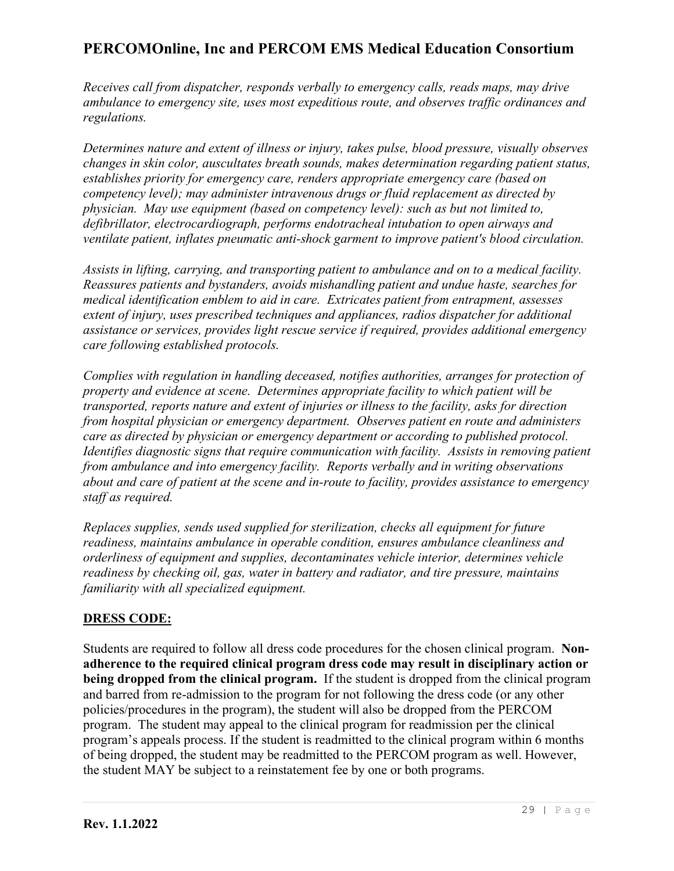*Receives call from dispatcher, responds verbally to emergency calls, reads maps, may drive ambulance to emergency site, uses most expeditious route, and observes traffic ordinances and regulations.*

*Determines nature and extent of illness or injury, takes pulse, blood pressure, visually observes changes in skin color, auscultates breath sounds, makes determination regarding patient status, establishes priority for emergency care, renders appropriate emergency care (based on competency level); may administer intravenous drugs or fluid replacement as directed by physician. May use equipment (based on competency level): such as but not limited to, defibrillator, electrocardiograph, performs endotracheal intubation to open airways and ventilate patient, inflates pneumatic anti-shock garment to improve patient's blood circulation.*

*Assists in lifting, carrying, and transporting patient to ambulance and on to a medical facility. Reassures patients and bystanders, avoids mishandling patient and undue haste, searches for medical identification emblem to aid in care. Extricates patient from entrapment, assesses extent of injury, uses prescribed techniques and appliances, radios dispatcher for additional assistance or services, provides light rescue service if required, provides additional emergency care following established protocols.*

*Complies with regulation in handling deceased, notifies authorities, arranges for protection of property and evidence at scene. Determines appropriate facility to which patient will be transported, reports nature and extent of injuries or illness to the facility, asks for direction from hospital physician or emergency department. Observes patient en route and administers care as directed by physician or emergency department or according to published protocol. Identifies diagnostic signs that require communication with facility. Assists in removing patient from ambulance and into emergency facility. Reports verbally and in writing observations about and care of patient at the scene and in-route to facility, provides assistance to emergency staff as required.*

*Replaces supplies, sends used supplied for sterilization, checks all equipment for future readiness, maintains ambulance in operable condition, ensures ambulance cleanliness and orderliness of equipment and supplies, decontaminates vehicle interior, determines vehicle readiness by checking oil, gas, water in battery and radiator, and tire pressure, maintains familiarity with all specialized equipment.*

### **DRESS CODE:**

Students are required to follow all dress code procedures for the chosen clinical program. **Nonadherence to the required clinical program dress code may result in disciplinary action or being dropped from the clinical program.** If the student is dropped from the clinical program and barred from re-admission to the program for not following the dress code (or any other policies/procedures in the program), the student will also be dropped from the PERCOM program. The student may appeal to the clinical program for readmission per the clinical program's appeals process. If the student is readmitted to the clinical program within 6 months of being dropped, the student may be readmitted to the PERCOM program as well. However, the student MAY be subject to a reinstatement fee by one or both programs.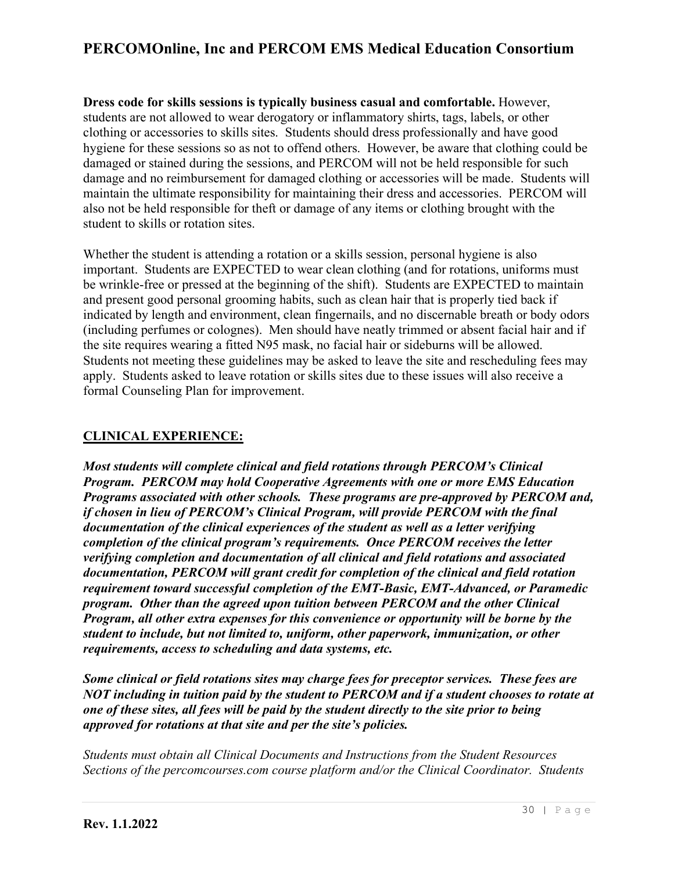**Dress code for skills sessions is typically business casual and comfortable.** However, students are not allowed to wear derogatory or inflammatory shirts, tags, labels, or other clothing or accessories to skills sites. Students should dress professionally and have good hygiene for these sessions so as not to offend others. However, be aware that clothing could be damaged or stained during the sessions, and PERCOM will not be held responsible for such damage and no reimbursement for damaged clothing or accessories will be made. Students will maintain the ultimate responsibility for maintaining their dress and accessories. PERCOM will also not be held responsible for theft or damage of any items or clothing brought with the student to skills or rotation sites.

Whether the student is attending a rotation or a skills session, personal hygiene is also important. Students are EXPECTED to wear clean clothing (and for rotations, uniforms must be wrinkle-free or pressed at the beginning of the shift). Students are EXPECTED to maintain and present good personal grooming habits, such as clean hair that is properly tied back if indicated by length and environment, clean fingernails, and no discernable breath or body odors (including perfumes or colognes). Men should have neatly trimmed or absent facial hair and if the site requires wearing a fitted N95 mask, no facial hair or sideburns will be allowed. Students not meeting these guidelines may be asked to leave the site and rescheduling fees may apply. Students asked to leave rotation or skills sites due to these issues will also receive a formal Counseling Plan for improvement.

### **CLINICAL EXPERIENCE:**

*Most students will complete clinical and field rotations through PERCOM's Clinical Program. PERCOM may hold Cooperative Agreements with one or more EMS Education Programs associated with other schools. These programs are pre-approved by PERCOM and, if chosen in lieu of PERCOM's Clinical Program, will provide PERCOM with the final documentation of the clinical experiences of the student as well as a letter verifying completion of the clinical program's requirements. Once PERCOM receives the letter verifying completion and documentation of all clinical and field rotations and associated documentation, PERCOM will grant credit for completion of the clinical and field rotation requirement toward successful completion of the EMT-Basic, EMT-Advanced, or Paramedic program. Other than the agreed upon tuition between PERCOM and the other Clinical Program, all other extra expenses for this convenience or opportunity will be borne by the student to include, but not limited to, uniform, other paperwork, immunization, or other requirements, access to scheduling and data systems, etc.*

*Some clinical or field rotations sites may charge fees for preceptor services. These fees are NOT including in tuition paid by the student to PERCOM and if a student chooses to rotate at one of these sites, all fees will be paid by the student directly to the site prior to being approved for rotations at that site and per the site's policies.*

*Students must obtain all Clinical Documents and Instructions from the Student Resources Sections of the percomcourses.com course platform and/or the Clinical Coordinator. Students*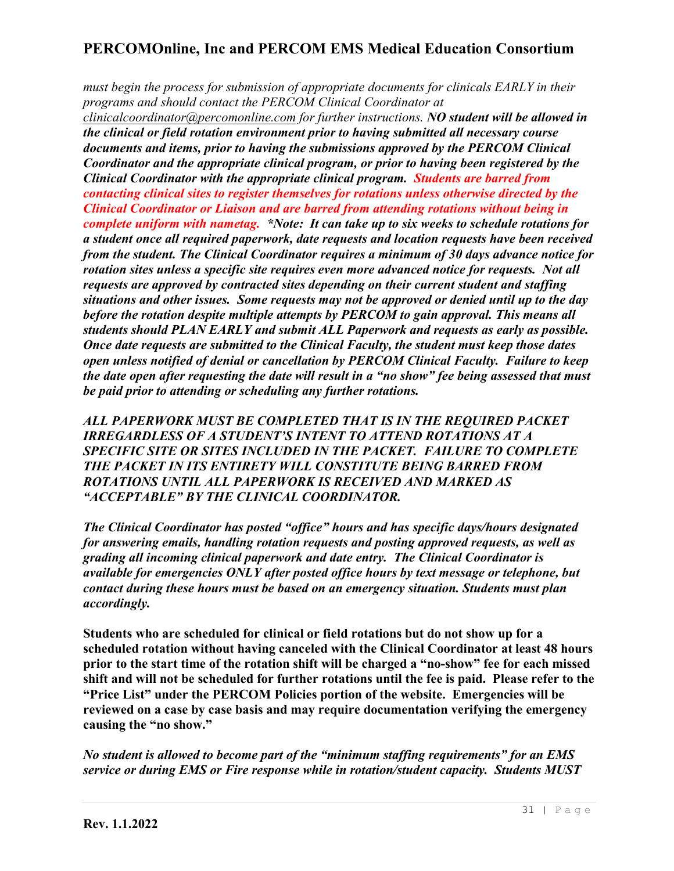*must begin the process for submission of appropriate documents for clinicals EARLY in their programs and should contact the PERCOM Clinical Coordinator at* 

*[clinicalcoordinator@percomonline.com](mailto:clinicals@percomonline.com) for further instructions. NO student will be allowed in the clinical or field rotation environment prior to having submitted all necessary course documents and items, prior to having the submissions approved by the PERCOM Clinical Coordinator and the appropriate clinical program, or prior to having been registered by the Clinical Coordinator with the appropriate clinical program. Students are barred from contacting clinical sites to register themselves for rotations unless otherwise directed by the Clinical Coordinator or Liaison and are barred from attending rotations without being in complete uniform with nametag. \*Note: It can take up to six weeks to schedule rotations for a student once all required paperwork, date requests and location requests have been received from the student. The Clinical Coordinator requires a minimum of 30 days advance notice for rotation sites unless a specific site requires even more advanced notice for requests. Not all requests are approved by contracted sites depending on their current student and staffing situations and other issues. Some requests may not be approved or denied until up to the day before the rotation despite multiple attempts by PERCOM to gain approval. This means all students should PLAN EARLY and submit ALL Paperwork and requests as early as possible. Once date requests are submitted to the Clinical Faculty, the student must keep those dates open unless notified of denial or cancellation by PERCOM Clinical Faculty. Failure to keep the date open after requesting the date will result in a "no show" fee being assessed that must be paid prior to attending or scheduling any further rotations.* 

*ALL PAPERWORK MUST BE COMPLETED THAT IS IN THE REQUIRED PACKET IRREGARDLESS OF A STUDENT'S INTENT TO ATTEND ROTATIONS AT A SPECIFIC SITE OR SITES INCLUDED IN THE PACKET. FAILURE TO COMPLETE THE PACKET IN ITS ENTIRETY WILL CONSTITUTE BEING BARRED FROM ROTATIONS UNTIL ALL PAPERWORK IS RECEIVED AND MARKED AS "ACCEPTABLE" BY THE CLINICAL COORDINATOR.* 

*The Clinical Coordinator has posted "office" hours and has specific days/hours designated for answering emails, handling rotation requests and posting approved requests, as well as grading all incoming clinical paperwork and date entry. The Clinical Coordinator is available for emergencies ONLY after posted office hours by text message or telephone, but contact during these hours must be based on an emergency situation. Students must plan accordingly.*

**Students who are scheduled for clinical or field rotations but do not show up for a scheduled rotation without having canceled with the Clinical Coordinator at least 48 hours prior to the start time of the rotation shift will be charged a "no-show" fee for each missed shift and will not be scheduled for further rotations until the fee is paid. Please refer to the "Price List" under the PERCOM Policies portion of the website. Emergencies will be reviewed on a case by case basis and may require documentation verifying the emergency causing the "no show."**

*No student is allowed to become part of the "minimum staffing requirements" for an EMS service or during EMS or Fire response while in rotation/student capacity. Students MUST*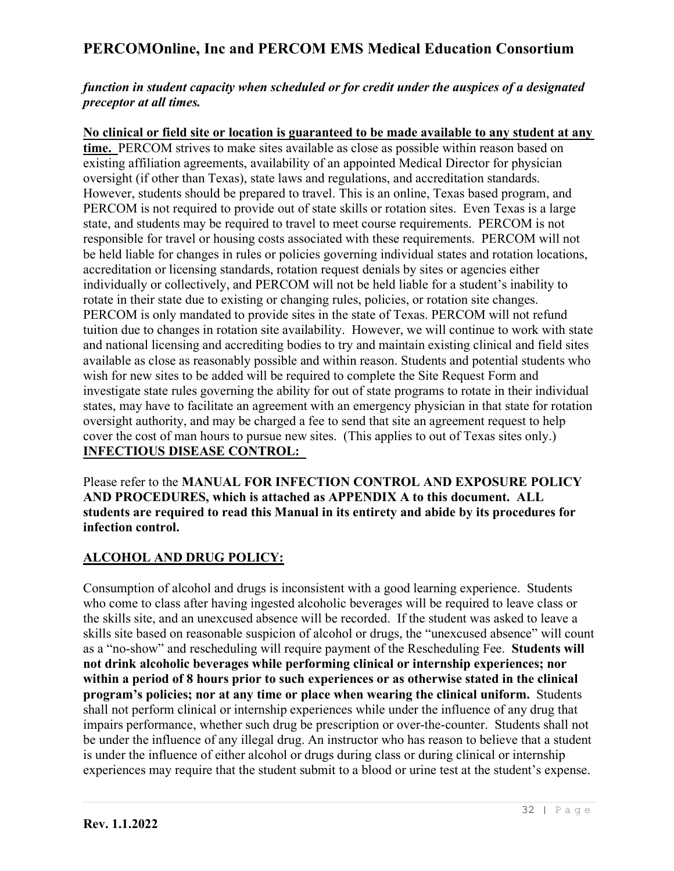### *function in student capacity when scheduled or for credit under the auspices of a designated preceptor at all times.*

**No clinical or field site or location is guaranteed to be made available to any student at any time.** PERCOM strives to make sites available as close as possible within reason based on existing affiliation agreements, availability of an appointed Medical Director for physician oversight (if other than Texas), state laws and regulations, and accreditation standards. However, students should be prepared to travel. This is an online, Texas based program, and PERCOM is not required to provide out of state skills or rotation sites. Even Texas is a large state, and students may be required to travel to meet course requirements. PERCOM is not responsible for travel or housing costs associated with these requirements. PERCOM will not be held liable for changes in rules or policies governing individual states and rotation locations, accreditation or licensing standards, rotation request denials by sites or agencies either individually or collectively, and PERCOM will not be held liable for a student's inability to rotate in their state due to existing or changing rules, policies, or rotation site changes. PERCOM is only mandated to provide sites in the state of Texas. PERCOM will not refund tuition due to changes in rotation site availability. However, we will continue to work with state and national licensing and accrediting bodies to try and maintain existing clinical and field sites available as close as reasonably possible and within reason. Students and potential students who wish for new sites to be added will be required to complete the Site Request Form and investigate state rules governing the ability for out of state programs to rotate in their individual states, may have to facilitate an agreement with an emergency physician in that state for rotation oversight authority, and may be charged a fee to send that site an agreement request to help cover the cost of man hours to pursue new sites. (This applies to out of Texas sites only.) **INFECTIOUS DISEASE CONTROL:**

Please refer to the **MANUAL FOR INFECTION CONTROL AND EXPOSURE POLICY AND PROCEDURES, which is attached as APPENDIX A to this document. ALL students are required to read this Manual in its entirety and abide by its procedures for infection control.**

## **ALCOHOL AND DRUG POLICY:**

Consumption of alcohol and drugs is inconsistent with a good learning experience. Students who come to class after having ingested alcoholic beverages will be required to leave class or the skills site, and an unexcused absence will be recorded. If the student was asked to leave a skills site based on reasonable suspicion of alcohol or drugs, the "unexcused absence" will count as a "no-show" and rescheduling will require payment of the Rescheduling Fee. **Students will not drink alcoholic beverages while performing clinical or internship experiences; nor within a period of 8 hours prior to such experiences or as otherwise stated in the clinical program's policies; nor at any time or place when wearing the clinical uniform.** Students shall not perform clinical or internship experiences while under the influence of any drug that impairs performance, whether such drug be prescription or over-the-counter. Students shall not be under the influence of any illegal drug. An instructor who has reason to believe that a student is under the influence of either alcohol or drugs during class or during clinical or internship experiences may require that the student submit to a blood or urine test at the student's expense.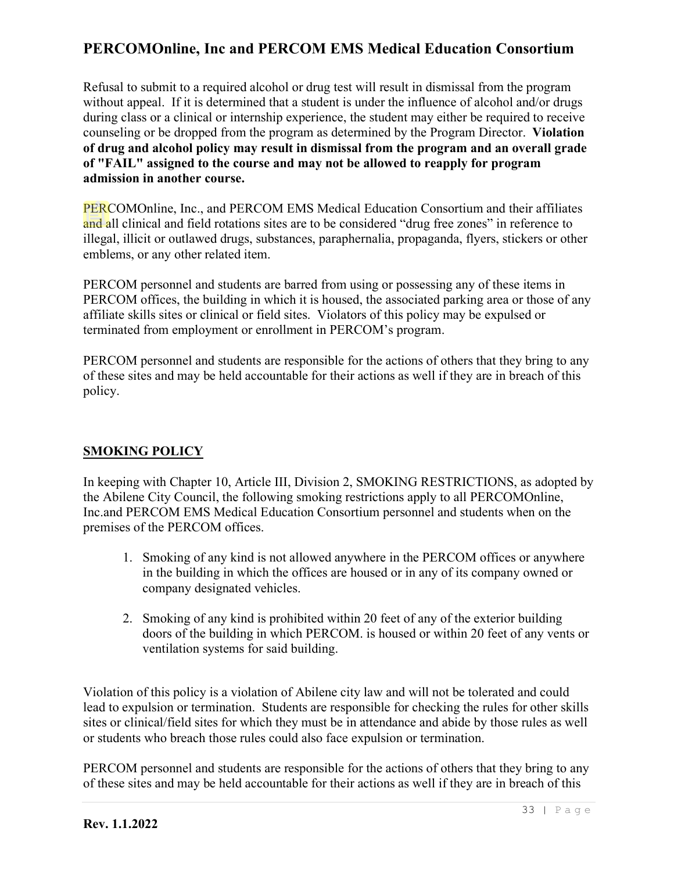Refusal to submit to a required alcohol or drug test will result in dismissal from the program without appeal. If it is determined that a student is under the influence of alcohol and/or drugs during class or a clinical or internship experience, the student may either be required to receive counseling or be dropped from the program as determined by the Program Director. **Violation of drug and alcohol policy may result in dismissal from the program and an overall grade of "FAIL" assigned to the course and may not be allowed to reapply for program admission in another course.**

PERCOMOnline, Inc., and PERCOM EMS Medical Education Consortium and their affiliates and all clinical and field rotations sites are to be considered "drug free zones" in reference to illegal, illicit or outlawed drugs, substances, paraphernalia, propaganda, flyers, stickers or other emblems, or any other related item.

PERCOM personnel and students are barred from using or possessing any of these items in PERCOM offices, the building in which it is housed, the associated parking area or those of any affiliate skills sites or clinical or field sites. Violators of this policy may be expulsed or terminated from employment or enrollment in PERCOM's program.

PERCOM personnel and students are responsible for the actions of others that they bring to any of these sites and may be held accountable for their actions as well if they are in breach of this policy.

### **SMOKING POLICY**

In keeping with Chapter 10, Article III, Division 2, SMOKING RESTRICTIONS, as adopted by the Abilene City Council, the following smoking restrictions apply to all PERCOMOnline, Inc.and PERCOM EMS Medical Education Consortium personnel and students when on the premises of the PERCOM offices.

- 1. Smoking of any kind is not allowed anywhere in the PERCOM offices or anywhere in the building in which the offices are housed or in any of its company owned or company designated vehicles.
- 2. Smoking of any kind is prohibited within 20 feet of any of the exterior building doors of the building in which PERCOM. is housed or within 20 feet of any vents or ventilation systems for said building.

Violation of this policy is a violation of Abilene city law and will not be tolerated and could lead to expulsion or termination. Students are responsible for checking the rules for other skills sites or clinical/field sites for which they must be in attendance and abide by those rules as well or students who breach those rules could also face expulsion or termination.

PERCOM personnel and students are responsible for the actions of others that they bring to any of these sites and may be held accountable for their actions as well if they are in breach of this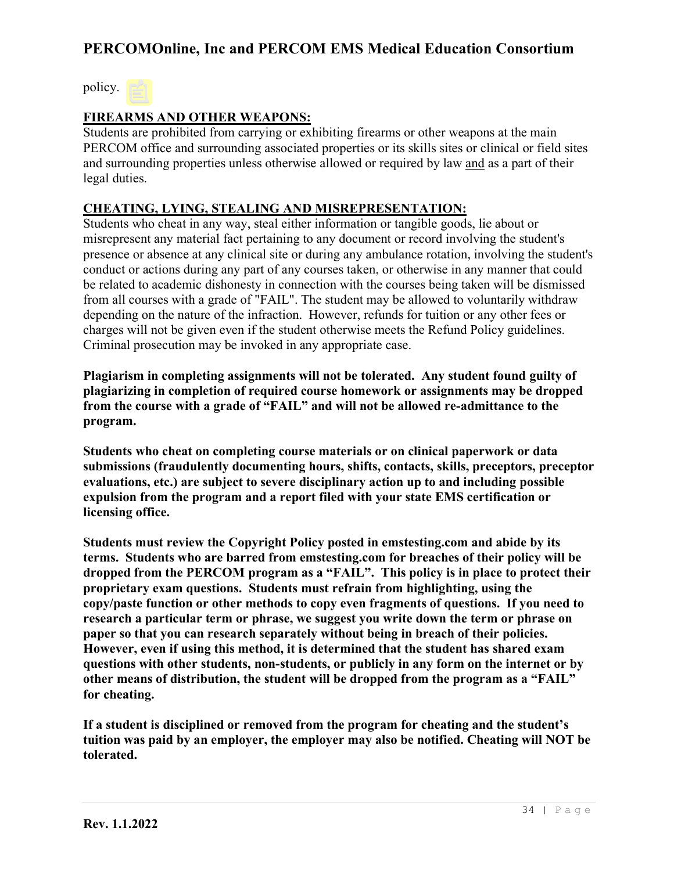policy.

### **FIREARMS AND OTHER WEAPONS:**

Students are prohibited from carrying or exhibiting firearms or other weapons at the main PERCOM office and surrounding associated properties or its skills sites or clinical or field sites and surrounding properties unless otherwise allowed or required by law and as a part of their legal duties.

### **CHEATING, LYING, STEALING AND MISREPRESENTATION:**

Students who cheat in any way, steal either information or tangible goods, lie about or misrepresent any material fact pertaining to any document or record involving the student's presence or absence at any clinical site or during any ambulance rotation, involving the student's conduct or actions during any part of any courses taken, or otherwise in any manner that could be related to academic dishonesty in connection with the courses being taken will be dismissed from all courses with a grade of "FAIL". The student may be allowed to voluntarily withdraw depending on the nature of the infraction. However, refunds for tuition or any other fees or charges will not be given even if the student otherwise meets the Refund Policy guidelines. Criminal prosecution may be invoked in any appropriate case.

**Plagiarism in completing assignments will not be tolerated. Any student found guilty of plagiarizing in completion of required course homework or assignments may be dropped from the course with a grade of "FAIL" and will not be allowed re-admittance to the program.** 

**Students who cheat on completing course materials or on clinical paperwork or data submissions (fraudulently documenting hours, shifts, contacts, skills, preceptors, preceptor evaluations, etc.) are subject to severe disciplinary action up to and including possible expulsion from the program and a report filed with your state EMS certification or licensing office.** 

**Students must review the Copyright Policy posted in emstesting.com and abide by its terms. Students who are barred from emstesting.com for breaches of their policy will be dropped from the PERCOM program as a "FAIL". This policy is in place to protect their proprietary exam questions. Students must refrain from highlighting, using the copy/paste function or other methods to copy even fragments of questions. If you need to research a particular term or phrase, we suggest you write down the term or phrase on paper so that you can research separately without being in breach of their policies. However, even if using this method, it is determined that the student has shared exam questions with other students, non-students, or publicly in any form on the internet or by other means of distribution, the student will be dropped from the program as a "FAIL" for cheating.** 

**If a student is disciplined or removed from the program for cheating and the student's tuition was paid by an employer, the employer may also be notified. Cheating will NOT be tolerated.**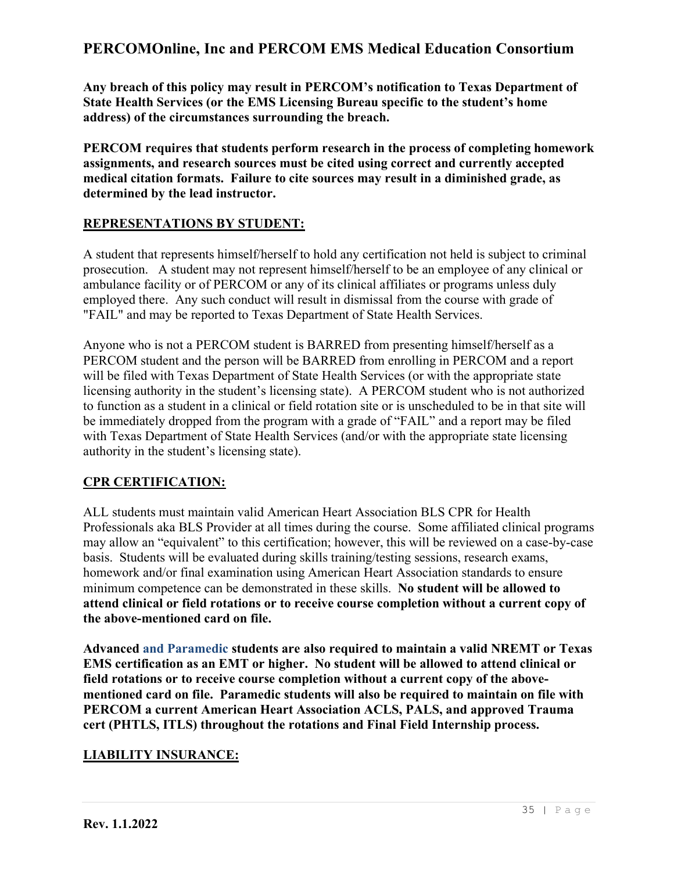**Any breach of this policy may result in PERCOM's notification to Texas Department of State Health Services (or the EMS Licensing Bureau specific to the student's home address) of the circumstances surrounding the breach.**

**PERCOM requires that students perform research in the process of completing homework assignments, and research sources must be cited using correct and currently accepted medical citation formats. Failure to cite sources may result in a diminished grade, as determined by the lead instructor.**

### **REPRESENTATIONS BY STUDENT:**

A student that represents himself/herself to hold any certification not held is subject to criminal prosecution. A student may not represent himself/herself to be an employee of any clinical or ambulance facility or of PERCOM or any of its clinical affiliates or programs unless duly employed there. Any such conduct will result in dismissal from the course with grade of "FAIL" and may be reported to Texas Department of State Health Services.

Anyone who is not a PERCOM student is BARRED from presenting himself/herself as a PERCOM student and the person will be BARRED from enrolling in PERCOM and a report will be filed with Texas Department of State Health Services (or with the appropriate state licensing authority in the student's licensing state). A PERCOM student who is not authorized to function as a student in a clinical or field rotation site or is unscheduled to be in that site will be immediately dropped from the program with a grade of "FAIL" and a report may be filed with Texas Department of State Health Services (and/or with the appropriate state licensing authority in the student's licensing state).

### **CPR CERTIFICATION:**

ALL students must maintain valid American Heart Association BLS CPR for Health Professionals aka BLS Provider at all times during the course. Some affiliated clinical programs may allow an "equivalent" to this certification; however, this will be reviewed on a case-by-case basis. Students will be evaluated during skills training/testing sessions, research exams, homework and/or final examination using American Heart Association standards to ensure minimum competence can be demonstrated in these skills. **No student will be allowed to attend clinical or field rotations or to receive course completion without a current copy of the above-mentioned card on file.**

**Advanced and Paramedic students are also required to maintain a valid NREMT or Texas EMS certification as an EMT or higher. No student will be allowed to attend clinical or field rotations or to receive course completion without a current copy of the abovementioned card on file. Paramedic students will also be required to maintain on file with PERCOM a current American Heart Association ACLS, PALS, and approved Trauma cert (PHTLS, ITLS) throughout the rotations and Final Field Internship process.**

### **LIABILITY INSURANCE:**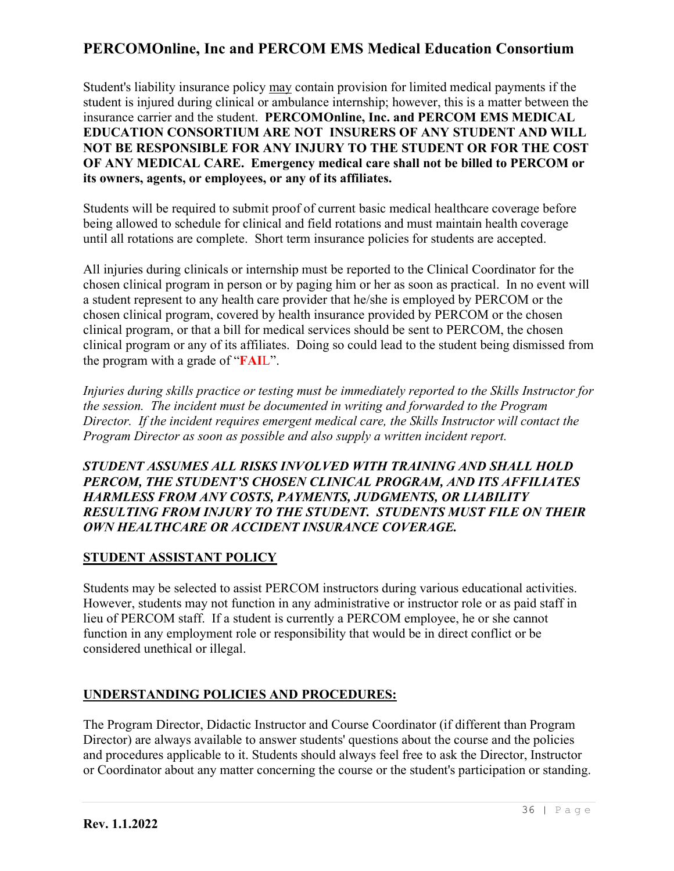Student's liability insurance policy may contain provision for limited medical payments if the student is injured during clinical or ambulance internship; however, this is a matter between the insurance carrier and the student. **PERCOMOnline, Inc. and PERCOM EMS MEDICAL EDUCATION CONSORTIUM ARE NOT INSURERS OF ANY STUDENT AND WILL NOT BE RESPONSIBLE FOR ANY INJURY TO THE STUDENT OR FOR THE COST OF ANY MEDICAL CARE. Emergency medical care shall not be billed to PERCOM or its owners, agents, or employees, or any of its affiliates.**

Students will be required to submit proof of current basic medical healthcare coverage before being allowed to schedule for clinical and field rotations and must maintain health coverage until all rotations are complete. Short term insurance policies for students are accepted.

All injuries during clinicals or internship must be reported to the Clinical Coordinator for the chosen clinical program in person or by paging him or her as soon as practical. In no event will a student represent to any health care provider that he/she is employed by PERCOM or the chosen clinical program, covered by health insurance provided by PERCOM or the chosen clinical program, or that a bill for medical services should be sent to PERCOM, the chosen clinical program or any of its affiliates. Doing so could lead to the student being dismissed from the program with a grade of "**FAI**L".

*Injuries during skills practice or testing must be immediately reported to the Skills Instructor for the session. The incident must be documented in writing and forwarded to the Program Director. If the incident requires emergent medical care, the Skills Instructor will contact the Program Director as soon as possible and also supply a written incident report.*

### *STUDENT ASSUMES ALL RISKS INVOLVED WITH TRAINING AND SHALL HOLD PERCOM, THE STUDENT'S CHOSEN CLINICAL PROGRAM, AND ITS AFFILIATES HARMLESS FROM ANY COSTS, PAYMENTS, JUDGMENTS, OR LIABILITY RESULTING FROM INJURY TO THE STUDENT. STUDENTS MUST FILE ON THEIR OWN HEALTHCARE OR ACCIDENT INSURANCE COVERAGE.*

### **STUDENT ASSISTANT POLICY**

Students may be selected to assist PERCOM instructors during various educational activities. However, students may not function in any administrative or instructor role or as paid staff in lieu of PERCOM staff. If a student is currently a PERCOM employee, he or she cannot function in any employment role or responsibility that would be in direct conflict or be considered unethical or illegal.

### **UNDERSTANDING POLICIES AND PROCEDURES:**

The Program Director, Didactic Instructor and Course Coordinator (if different than Program Director) are always available to answer students' questions about the course and the policies and procedures applicable to it. Students should always feel free to ask the Director, Instructor or Coordinator about any matter concerning the course or the student's participation or standing.